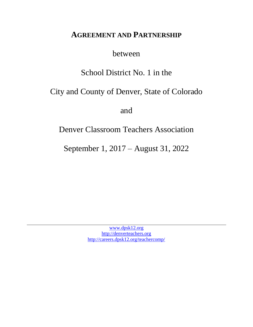# **AGREEMENT AND PARTNERSHIP**

between

# School District No. 1 in the

# City and County of Denver, State of Colorado

and

# Denver Classroom Teachers Association

September 1, 2017 – August 31, 2022

[www.dpsk12.org](http://www.dpsk12.org/) [http://denverteachers.org](http://denverteachers.org/) <http://careers.dpsk12.org/teachercomp/>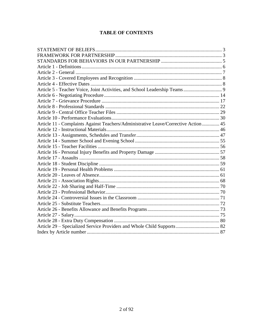# **TABLE OF CONTENTS**

| Article 11 - Complaints Against Teachers/Administrative Leave/Corrective Action  45 |  |
|-------------------------------------------------------------------------------------|--|
|                                                                                     |  |
|                                                                                     |  |
|                                                                                     |  |
|                                                                                     |  |
|                                                                                     |  |
|                                                                                     |  |
|                                                                                     |  |
|                                                                                     |  |
|                                                                                     |  |
|                                                                                     |  |
|                                                                                     |  |
|                                                                                     |  |
|                                                                                     |  |
|                                                                                     |  |
|                                                                                     |  |
|                                                                                     |  |
|                                                                                     |  |
|                                                                                     |  |
|                                                                                     |  |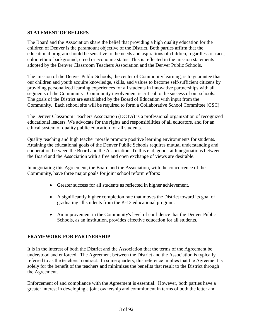# <span id="page-2-0"></span>**STATEMENT OF BELIEFS**

The Board and the Association share the belief that providing a high quality education for the children of Denver is the paramount objective of the District. Both parties affirm that the educational program should be sensitive to the needs and aspirations of children, regardless of race, color, ethnic background, creed or economic status. This is reflected in the mission statements adopted by the Denver Classroom Teachers Association and the Denver Public Schools.

The mission of the Denver Public Schools, the center of Community learning, is to guarantee that our children and youth acquire knowledge, skills, and values to become self-sufficient citizens by providing personalized learning experiences for all students in innovative partnerships with all segments of the Community. Community involvement is critical to the success of our schools. The goals of the District are established by the Board of Education with input from the Community. Each school site will be required to form a Collaborative School Committee (CSC).

The Denver Classroom Teachers Association (DCTA) is a professional organization of recognized educational leaders. We advocate for the rights and responsibilities of all educators, and for an ethical system of quality public education for all students.

Quality teaching and high teacher morale promote positive learning environments for students. Attaining the educational goals of the Denver Public Schools requires mutual understanding and cooperation between the Board and the Association. To this end, good-faith negotiations between the Board and the Association with a free and open exchange of views are desirable.

In negotiating this Agreement, the Board and the Association, with the concurrence of the Community, have three major goals for joint school reform efforts:

- Greater success for all students as reflected in higher achievement.
- A significantly higher completion rate that moves the District toward its goal of graduating all students from the K-12 educational program.
- An improvement in the Community's level of confidence that the Denver Public Schools, as an institution, provides effective education for all students.

# <span id="page-2-1"></span>**FRAMEWORK FOR PARTNERSHIP**

It is in the interest of both the District and the Association that the terms of the Agreement be understood and enforced. The Agreement between the District and the Association is typically referred to as the teachers' contract. In some quarters, this reference implies that the Agreement is solely for the benefit of the teachers and minimizes the benefits that result to the District through the Agreement.

Enforcement of and compliance with the Agreement is essential. However, both parties have a greater interest in developing a joint ownership and commitment in terms of both the letter and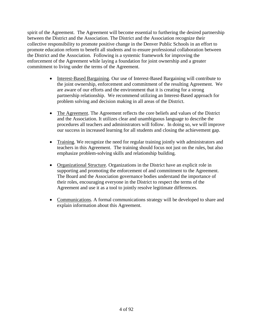spirit of the Agreement. The Agreement will become essential to furthering the desired partnership between the District and the Association. The District and the Association recognize their collective responsibility to promote positive change in the Denver Public Schools in an effort to promote education reform to benefit all students and to ensure professional collaboration between the District and the Association. Following is a systemic framework for improving the enforcement of the Agreement while laying a foundation for joint ownership and a greater commitment to living under the terms of the Agreement.

- Interest-Based Bargaining. Our use of Interest-Based Bargaining will contribute to the joint ownership, enforcement and commitment of the resulting Agreement. We are aware of our efforts and the environment that it is creating for a strong partnership relationship. We recommend utilizing an Interest-Based approach for problem solving and decision making in all areas of the District.
- The Agreement. The Agreement reflects the core beliefs and values of the District and the Association. It utilizes clear and unambiguous language to describe the procedures all teachers and administrators will follow. In doing so, we will improve our success in increased learning for all students and closing the achievement gap.
- Training. We recognize the need for regular training jointly with administrators and teachers in this Agreement. The training should focus not just on the rules, but also emphasize problem-solving skills and relationship building.
- Organizational Structure. Organizations in the District have an explicit role in supporting and promoting the enforcement of and commitment to the Agreement. The Board and the Association governance bodies understand the importance of their roles, encouraging everyone in the District to respect the terms of the Agreement and use it as a tool to jointly resolve legitimate differences.
- Communications. A formal communications strategy will be developed to share and explain information about this Agreement.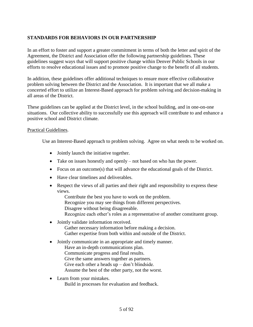# <span id="page-4-0"></span>**STANDARDS FOR BEHAVIORS IN OUR PARTNERSHIP**

In an effort to foster and support a greater commitment in terms of both the letter and spirit of the Agreement, the District and Association offer the following partnership guidelines. These guidelines suggest ways that will support positive change within Denver Public Schools in our efforts to resolve educational issues and to promote positive change to the benefit of all students.

In addition, these guidelines offer additional techniques to ensure more effective collaborative problem solving between the District and the Association. It is important that we all make a concerted effort to utilize an Interest-Based approach for problem solving and decision-making in all areas of the District.

These guidelines can be applied at the District level, in the school building, and in one-on-one situations. Our collective ability to successfully use this approach will contribute to and enhance a positive school and District climate.

#### Practical Guidelines.

Use an Interest-Based approach to problem solving. Agree on what needs to be worked on.

- Jointly launch the initiative together.
- Take on issues honestly and openly not based on who has the power.
- Focus on an outcome(s) that will advance the educational goals of the District.
- Have clear timelines and deliverables.
- Respect the views of all parties and their right and responsibility to express these views.

Contribute the best you have to work on the problem.

Recognize you may see things from different perspectives.

Disagree without being disagreeable.

Recognize each other's roles as a representative of another constituent group.

- Jointly validate information received. Gather necessary information before making a decision. Gather expertise from both within and outside of the District.
- Jointly communicate in an appropriate and timely manner. Have an in-depth communications plan. Communicate progress and final results. Give the same answers together as partners. Give each other a heads  $up$  – don't blindside. Assume the best of the other party, not the worst.
- Learn from your mistakes. Build in processes for evaluation and feedback.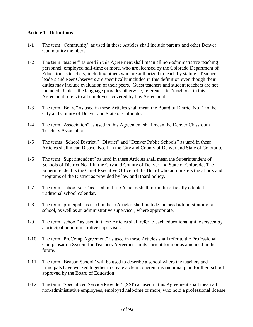#### <span id="page-5-0"></span>**Article 1 - Definitions**

- 1-1 The term "Community" as used in these Articles shall include parents and other Denver Community members.
- 1-2 The term "teacher" as used in this Agreement shall mean all non-administrative teaching personnel, employed half-time or more, who are licensed by the Colorado Department of Education as teachers, including others who are authorized to teach by statute. Teacher leaders and Peer Observers are specifically included in this definition even though their duties may include evaluation of their peers. Guest teachers and student teachers are not included. Unless the language provides otherwise, references to "teachers" in this Agreement refers to all employees covered by this Agreement.
- 1-3 The term "Board" as used in these Articles shall mean the Board of District No. 1 in the City and County of Denver and State of Colorado.
- 1-4 The term "Association" as used in this Agreement shall mean the Denver Classroom Teachers Association.
- 1-5 The terms "School District," "District" and "Denver Public Schools" as used in these Articles shall mean District No. 1 in the City and County of Denver and State of Colorado.
- 1-6 The term "Superintendent" as used in these Articles shall mean the Superintendent of Schools of District No. 1 in the City and County of Denver and State of Colorado. The Superintendent is the Chief Executive Officer of the Board who administers the affairs and programs of the District as provided by law and Board policy.
- 1-7 The term "school year" as used in these Articles shall mean the officially adopted traditional school calendar.
- 1-8 The term "principal" as used in these Articles shall include the head administrator of a school, as well as an administrative supervisor, where appropriate.
- 1-9 The term "school" as used in these Articles shall refer to each educational unit overseen by a principal or administrative supervisor.
- 1-10 The term "ProComp Agreement" as used in these Articles shall refer to the Professional Compensation System for Teachers Agreement in its current form or as amended in the future.
- 1-11 The term "Beacon School" will be used to describe a school where the teachers and principals have worked together to create a clear coherent instructional plan for their school approved by the Board of Education.
- 1-12 The term "Specialized Service Provider" (SSP) as used in this Agreement shall mean all non-administrative employees, employed half-time or more, who hold a professional license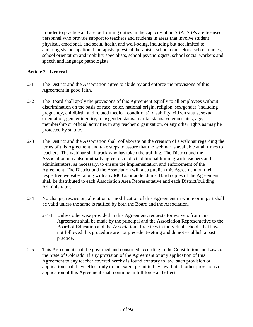in order to practice and are performing duties in the capacity of an SSP. SSPs are licensed personnel who provide support to teachers and students in areas that involve student physical, emotional, and social health and well-being, including but not limited to audiologists, occupational therapists, physical therapists, school counselors, school nurses, school orientation and mobility specialists, school psychologists, school social workers and speech and language pathologists.

# <span id="page-6-0"></span>**Article 2 - General**

- 2-1 The District and the Association agree to abide by and enforce the provisions of this Agreement in good faith.
- 2-2 The Board shall apply the provisions of this Agreement equally to all employees without discrimination on the basis of race, color, national origin, religion, sex/gender (including pregnancy, childbirth, and related medical conditions), disability, citizen status, sexual orientation, gender identity, transgender status, marital status, veteran status, age, membership or official activities in any teacher organization, or any other rights as may be protected by statute.
- 2-3 The District and the Association shall collaborate on the creation of a webinar regarding the terms of this Agreement and take steps to assure that the webinar is available at all times to teachers. The webinar shall track who has taken the training. The District and the Association may also mutually agree to conduct additional training with teachers and administrators, as necessary, to ensure the implementation and enforcement of the Agreement. The District and the Association will also publish this Agreement on their respective websites, along with any MOUs or addendums. Hard copies of the Agreement shall be distributed to each Association Area Representative and each District/building Administrator.
- 2-4 No change, rescission, alteration or modification of this Agreement in whole or in part shall be valid unless the same is ratified by both the Board and the Association.
	- 2-4-1 Unless otherwise provided in this Agreement, requests for waivers from this Agreement shall be made by the principal and the Association Representative to the Board of Education and the Association. Practices in individual schools that have not followed this procedure are not precedent-setting and do not establish a past practice.
- 2-5 This Agreement shall be governed and construed according to the Constitution and Laws of the State of Colorado. If any provision of the Agreement or any application of this Agreement to any teacher covered hereby is found contrary to law, such provision or application shall have effect only to the extent permitted by law, but all other provisions or application of this Agreement shall continue in full force and effect.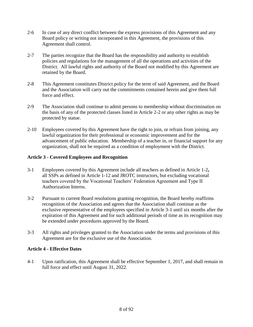- 2-6 In case of any direct conflict between the express provisions of this Agreement and any Board policy or writing not incorporated in this Agreement, the provisions of this Agreement shall control.
- 2-7 The parties recognize that the Board has the responsibility and authority to establish policies and regulations for the management of all the operations and activities of the District. All lawful rights and authority of the Board not modified by this Agreement are retained by the Board.
- 2-8 This Agreement constitutes District policy for the term of said Agreement, and the Board and the Association will carry out the commitments contained herein and give them full force and effect.
- 2-9 The Association shall continue to admit persons to membership without discrimination on the basis of any of the protected classes listed in Article 2-2 or any other rights as may be protected by statue.
- 2-10 Employees covered by this Agreement have the right to join, or refrain from joining, any lawful organization for their professional or economic improvement and for the advancement of public education. Membership of a teacher in, or financial support for any organization, shall not be required as a condition of employment with the District.

# <span id="page-7-0"></span>**Article 3 - Covered Employees and Recognition**

- 3-1 Employees covered by this Agreement include all teachers as defined in Article 1-2**,** all SSPs as defined in Article 1-12 and JROTC instructors, but excluding vocational teachers covered by the Vocational Teachers' Federation Agreement and Type II Authorization Interns.
- 3-2 Pursuant to current Board resolutions granting recognition, the Board hereby reaffirms recognition of the Association and agrees that the Association shall continue as the exclusive representative of the employees specified in Article 3-1 until six months after the expiration of this Agreement and for such additional periods of time as its recognition may be extended under procedures approved by the Board.
- 3-3 All rights and privileges granted to the Association under the terms and provisions of this Agreement are for the exclusive use of the Association.

# <span id="page-7-1"></span>**Article 4 - Effective Dates**

4-1 Upon ratification, this Agreement shall be effective September 1, 2017, and shall remain in full force and effect until August 31, 2022.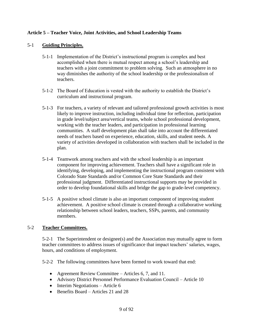# <span id="page-8-0"></span>**Article 5 – Teacher Voice, Joint Activities, and School Leadership Teams**

# 5-1 **Guiding Principles.**

- 5-1-1 Implementation of the District's instructional program is complex and best accomplished when there is mutual respect among a school's leadership and teachers with a joint commitment to problem solving. Such an atmosphere in no way diminishes the authority of the school leadership or the professionalism of teachers.
- 5-1-2 The Board of Education is vested with the authority to establish the District's curriculum and instructional program.
- 5-1-3 For teachers, a variety of relevant and tailored professional growth activities is most likely to improve instruction, including individual time for reflection, participation in grade level/subject area/vertical teams, whole school professional development, working with the teacher leaders, and participation in professional learning communities. A staff development plan shall take into account the differentiated needs of teachers based on experience, education, skills, and student needs. A variety of activities developed in collaboration with teachers shall be included in the plan.
- 5-1-4 Teamwork among teachers and with the school leadership is an important component for improving achievement. Teachers shall have a significant role in identifying, developing, and implementing the instructional program consistent with Colorado State Standards and/or Common Core State Standards and their professional judgment. Differentiated instructional supports may be provided in order to develop foundational skills and bridge the gap to grade-level competency.
- 5-1-5 A positive school climate is also an important component of improving student achievement. A positive school climate is created through a collaborative working relationship between school leaders, teachers, SSPs, parents, and community members.

# 5-2 **Teacher Committees.**

5-2-1 The Superintendent or designee(s) and the Association may mutually agree to form teacher committees to address issues of significance that impact teachers' salaries, wages, hours, and conditions of employment.

5-2-2 The following committees have been formed to work toward that end:

- Agreement Review Committee Articles 6, 7, and 11.
- Advisory District Personnel Performance Evaluation Council Article 10
- $\bullet$  Interim Negotiations Article 6
- Benefits Board Articles 21 and 28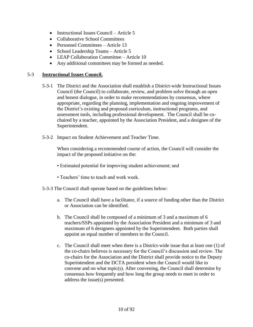- Instructional Issues Council Article  $5$
- Collaborative School Committees
- Personnel Committees Article 13
- School Leadership Teams Article 5
- LEAP Collaboration Committee Article 10
- Any additional committees may be formed as needed.

#### 5-3 **Instructional Issues Council.**

- 5-3-1 The District and the Association shall establish a District-wide Instructional Issues Council (the Council) to collaborate, review, and problem solve through an open and honest dialogue, in order to make recommendations by consensus, where appropriate, regarding the planning, implementation and ongoing improvement of the District's existing and proposed curriculum, instructional programs, and assessment tools, including professional development. The Council shall be cochaired by a teacher, appointed by the Association President, and a designee of the Superintendent.
- 5-3-2 Impact on Student Achievement and Teacher Time.

When considering a recommended course of action, the Council will consider the impact of the proposed initiative on the:

- Estimated potential for improving student achievement; and
- Teachers' time to teach and work week.
- 5-3-3 The Council shall operate based on the guidelines below:
	- a. The Council shall have a facilitator, if a source of funding other than the District or Association can be identified.
	- b. The Council shall be composed of a minimum of 3 and a maximum of 6 teachers/SSPs appointed by the Association President and a minimum of 3 and maximum of 6 designees appointed by the Superintendent. Both parties shall appoint an equal number of members to the Council.
	- c. The Council shall meet when there is a District-wide issue that at least one (1) of the co-chairs believes is necessary for the Council's discussion and review. The co-chairs for the Association and the District shall provide notice to the Deputy Superintendent and the DCTA president when the Council would like to convene and on what topic(s). After convening, the Council shall determine by consensus how frequently and how long the group needs to meet in order to address the issue(s) presented.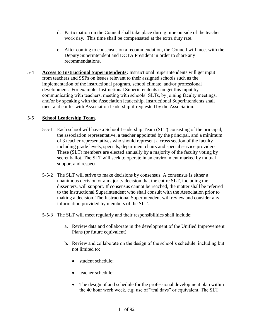- d. Participation on the Council shall take place during time outside of the teacher work day. This time shall be compensated at the extra duty rate.
- e. After coming to consensus on a recommendation, the Council will meet with the Deputy Superintendent and DCTA President in order to share any recommendations.
- 5-4 **Access to Instructional Superintendents:** Instructional Superintendents will get input from teachers and SSPs on issues relevant to their assigned schools such as the implementation of the instructional program, school climate, and/or professional development. For example, Instructional Superintendents can get this input by communicating with teachers, meeting with schools' SLTs, by joining faculty meetings, and/or by speaking with the Association leadership. Instructional Superintendents shall meet and confer with Association leadership if requested by the Association.

# 5-5 **School Leadership Team.**

- 5-5-1 Each school will have a School Leadership Team (SLT) consisting of the principal, the association representative, a teacher appointed by the principal, and a minimum of 3 teacher representatives who should represent a cross section of the faculty including grade levels, specials, department chairs and special service providers. These (SLT) members are elected annually by a majority of the faculty voting by secret ballot. The SLT will seek to operate in an environment marked by mutual support and respect.
- 5-5-2 The SLT will strive to make decisions by consensus. A consensus is either a unanimous decision or a majority decision that the entire SLT, including the dissenters, will support. If consensus cannot be reached, the matter shall be referred to the Instructional Superintendent who shall consult with the Association prior to making a decision. The Instructional Superintendent will review and consider any information provided by members of the SLT.
- 5-5-3 The SLT will meet regularly and their responsibilities shall include:
	- a. Review data and collaborate in the development of the Unified Improvement Plans (or future equivalent);
	- b. Review and collaborate on the design of the school's schedule, including but not limited to:
		- student schedule;
		- teacher schedule;
		- The design of and schedule for the professional development plan within the 40 hour work week, e.g. use of "teal days" or equivalent. The SLT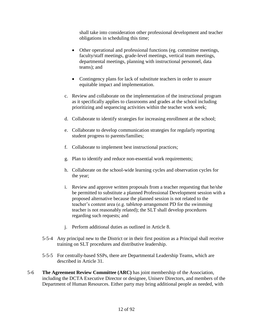shall take into consideration other professional development and teacher obligations in scheduling this time;

- Other operational and professional functions (eg. committee meetings, faculty/staff meetings, grade-level meetings, vertical team meetings, departmental meetings, planning with instructional personnel, data teams); and
- Contingency plans for lack of substitute teachers in order to assure equitable impact and implementation.
- c. Review and collaborate on the implementation of the instructional program as it specifically applies to classrooms and grades at the school including prioritizing and sequencing activities within the teacher work week;
- d. Collaborate to identify strategies for increasing enrollment at the school;
- e. Collaborate to develop communication strategies for regularly reporting student progress to parents/families;
- f. Collaborate to implement best instructional practices;
- g. Plan to identify and reduce non-essential work requirements;
- h. Collaborate on the school-wide learning cycles and observation cycles for the year;
- i. Review and approve written proposals from a teacher requesting that he/she be permitted to substitute a planned Professional Development session with a proposed alternative because the planned session is not related to the teacher's content area (e.g. tabletop arrangement PD for the swimming teacher is not reasonably related); the SLT shall develop procedures regarding such requests; and
- j. Perform additional duties as outlined in Article 8.
- 5-5-4 Any principal new to the District or in their first position as a Principal shall receive training on SLT procedures and distributive leadership.
- 5-5-5 For centrally-based SSPs, there are Departmental Leadership Teams, which are described in Article 31.
- 5-6 **The Agreement Review Committee (ARC)** has joint membership of the Association, including the DCTA Executive Director or designee, Uniserv Directors, and members of the Department of Human Resources. Either party may bring additional people as needed, with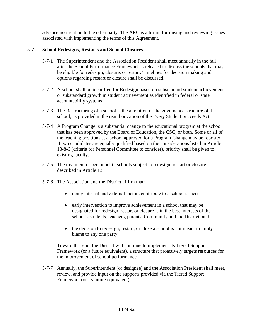advance notification to the other party. The ARC is a forum for raising and reviewing issues associated with implementing the terms of this Agreement.

#### 5-7 **School Redesigns, Restarts and School Closures.**

- 5-7-1 The Superintendent and the Association President shall meet annually in the fall after the School Performance Framework is released to discuss the schools that may be eligible for redesign, closure, or restart. Timelines for decision making and options regarding restart or closure shall be discussed.
- 5-7-2 A school shall be identified for Redesign based on substandard student achievement or substandard growth in student achievement as identified in federal or state accountability systems.
- 5-7-3 The Restructuring of a school is the alteration of the governance structure of the school, as provided in the reauthorization of the Every Student Succeeds Act.
- 5-7-4 A Program Change is a substantial change to the educational program at the school that has been approved by the Board of Education, the CSC, or both. Some or all of the teaching positions at a school approved for a Program Change may be reposted. If two candidates are equally qualified based on the considerations listed in Article 13-8-6 (criteria for Personnel Committee to consider), priority shall be given to existing faculty.
- 5-7-5 The treatment of personnel in schools subject to redesign, restart or closure is described in Article 13.
- 5-7-6 The Association and the District affirm that:
	- many internal and external factors contribute to a school's success;
	- early intervention to improve achievement in a school that may be designated for redesign, restart or closure is in the best interests of the school's students, teachers, parents, Community and the District; and
	- the decision to redesign, restart, or close a school is not meant to imply blame to any one party.

Toward that end, the District will continue to implement its Tiered Support Framework (or a future equivalent), a structure that proactively targets resources for the improvement of school performance.

5-7-7 Annually, the Superintendent (or designee) and the Association President shall meet, review, and provide input on the supports provided via the Tiered Support Framework (or its future equivalent).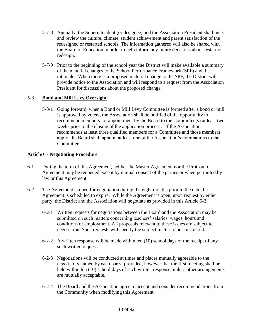- 5-7-8 Annually, the Superintendent (or designee) and the Association President shall meet and review the culture, climate, student achievement and parent satisfaction of the redesigned or restarted schools. The information gathered will also be shared with the Board of Education in order to help inform any future decisions about restart or redesign.
- 5-7-9 Prior to the beginning of the school year the District will make available a summary of the material changes to the School Performance Framework (SPF) and the rationale. When there is a proposed material change to the SPF, the District will provide notice to the Association and will respond to a request from the Association President for discussions about the proposed change.

# 5-8 **Bond and Mill Levy Oversight**

5-8-1 Going forward, when a Bond or Mill Levy Committee is formed after a bond or mill is approved by voters, the Association shall be notified of the opportunity to recommend members for appointment by the Board to the Committee(s) at least two weeks prior to the closing of the application process. If the Association recommends at least three qualified members for a Committee and those members apply, the Board shall appoint at least one of the Association's nominations to the Committee.

# <span id="page-13-0"></span>**Article 6 - Negotiating Procedure**

- 6-1 During the term of this Agreement, neither the Master Agreement nor the ProComp Agreement may be reopened except by mutual consent of the parties or when permitted by law or this Agreement.
- 6-2 The Agreement is open for negotiation during the eight months prior to the date the Agreement is scheduled to expire. While the Agreement is open, upon request by either party, the District and the Association will negotiate as provided in this Article 6-2.
	- 6-2-1 Written requests for negotiations between the Board and the Association may be submitted on such matters concerning teachers' salaries, wages, hours and conditions of employment. All proposals relevant to these issues are subject to negotiation. Such requests will specify the subject matter to be considered.
	- 6-2-2 A written response will be made within ten (10) school days of the receipt of any such written request.
	- 6-2-3 Negotiations will be conducted at times and places mutually agreeable to the negotiators named by each party; provided, however that the first meeting shall be held within ten (10) school days of such written response, unless other arrangements are mutually acceptable.
	- 6-2-4 The Board and the Association agree to accept and consider recommendations from the Community when modifying this Agreement.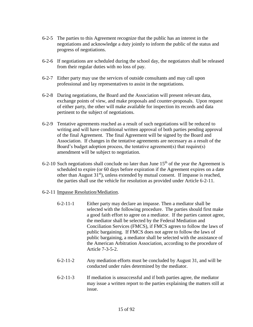- 6-2-5 The parties to this Agreement recognize that the public has an interest in the negotiations and acknowledge a duty jointly to inform the public of the status and progress of negotiations.
- 6-2-6 If negotiations are scheduled during the school day, the negotiators shall be released from their regular duties with no loss of pay.
- 6-2-7 Either party may use the services of outside consultants and may call upon professional and lay representatives to assist in the negotiations.
- 6-2-8 During negotiations, the Board and the Association will present relevant data, exchange points of view, and make proposals and counter-proposals. Upon request of either party, the other will make available for inspection its records and data pertinent to the subject of negotiations.
- 6-2-9 Tentative agreements reached as a result of such negotiations will be reduced to writing and will have conditional written approval of both parties pending approval of the final Agreement. The final Agreement will be signed by the Board and Association. If changes in the tentative agreements are necessary as a result of the Board's budget adoption process, the tentative agreement(s) that require(s) amendment will be subject to negotiation.
- 6-2-10 Such negotiations shall conclude no later than June  $15<sup>th</sup>$  of the year the Agreement is scheduled to expire (or 60 days before expiration if the Agreement expires on a date other than August  $31<sup>st</sup>$ ), unless extended by mutual consent. If impasse is reached, the parties shall use the vehicle for resolution as provided under Article 6-2-11.
- 6-2-11 Impasse Resolution/Mediation.
	- 6-2-11-1 Either party may declare an impasse. Then a mediator shall be selected with the following procedure. The parties should first make a good faith effort to agree on a mediator. If the parties cannot agree, the mediator shall be selected by the Federal Mediation and Conciliation Services (FMCS), if FMCS agrees to follow the laws of public bargaining. If FMCS does not agree to follow the laws of public bargaining, a mediator shall be selected with the assistance of the American Arbitration Association, according to the procedure of Article 7-3-5-2.
	- 6-2-11-2 Any mediation efforts must be concluded by August 31, and will be conducted under rules determined by the mediator.
	- 6-2-11-3 If mediation is unsuccessful and if both parties agree, the mediator may issue a written report to the parties explaining the matters still at issue.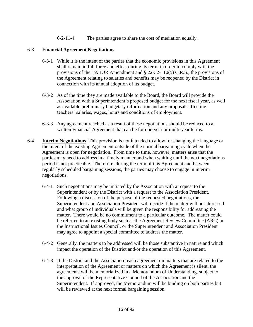6-2-11-4 The parties agree to share the cost of mediation equally.

#### 6-3 **Financial Agreement Negotiations.**

- 6-3-1 While it is the intent of the parties that the economic provisions in this Agreement shall remain in full force and effect during its term, in order to comply with the provisions of the TABOR Amendment and § 22-32-110(5) C.R.S., the provisions of the Agreement relating to salaries and benefits may be reopened by the District in connection with its annual adoption of its budget.
- 6-3-2 As of the time they are made available to the Board, the Board will provide the Association with a Superintendent's proposed budget for the next fiscal year, as well as available preliminary budgetary information and any proposals affecting teachers' salaries, wages, hours and conditions of employment.
- 6-3-3 Any agreement reached as a result of these negotiations should be reduced to a written Financial Agreement that can be for one-year or multi-year terms.
- 6-4 **Interim Negotiations**. This provision is not intended to allow for changing the language or the intent of the existing Agreement outside of the normal bargaining cycle when the Agreement is open for negotiation. From time to time, however, matters arise that the parties may need to address in a timely manner and when waiting until the next negotiations period is not practicable. Therefore, during the term of this Agreement and between regularly scheduled bargaining sessions, the parties may choose to engage in interim negotiations.
	- 6-4-1 Such negotiations may be initiated by the Association with a request to the Superintendent or by the District with a request to the Association President. Following a discussion of the purpose of the requested negotiations, the Superintendent and Association President will decide if the matter will be addressed and what group of individuals will be given the responsibility for addressing the matter. There would be no commitment to a particular outcome. The matter could be referred to an existing body such as the Agreement Review Committee (ARC) or the Instructional Issues Council, or the Superintendent and Association President may agree to appoint a special committee to address the matter.
	- 6-4-2 Generally, the matters to be addressed will be those substantive in nature and which impact the operation of the District and/or the operation of this Agreement.
	- 6-4-3 If the District and the Association reach agreement on matters that are related to the interpretation of the Agreement or matters on which the Agreement is silent, the agreements will be memorialized in a Memorandum of Understanding, subject to the approval of the Representative Council of the Association and the Superintendent. If approved, the Memorandum will be binding on both parties but will be reviewed at the next formal bargaining session.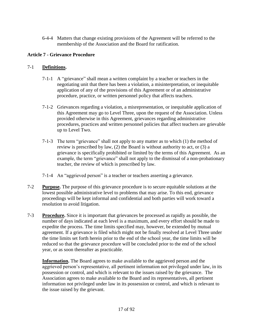6-4-4 Matters that change existing provisions of the Agreement will be referred to the membership of the Association and the Board for ratification.

# <span id="page-16-0"></span>**Article 7 - Grievance Procedure**

#### 7-1 **Definitions.**

- 7-1-1 A "grievance" shall mean a written complaint by a teacher or teachers in the negotiating unit that there has been a violation, a misinterpretation, or inequitable application of any of the provisions of this Agreement or of an administrative procedure, practice, or written personnel policy that affects teachers.
- 7-1-2 Grievances regarding a violation, a misrepresentation, or inequitable application of this Agreement may go to Level Three, upon the request of the Association. Unless provided otherwise in this Agreement, grievances regarding administrative procedures, practices and written personnel policies that affect teachers are grievable up to Level Two.
- 7-1-3 The term "grievance" shall not apply to any matter as to which (1) the method of review is prescribed by law, (2) the Board is without authority to act, or (3) a grievance is specifically prohibited or limited by the terms of this Agreement. As an example, the term "grievance" shall not apply to the dismissal of a non-probationary teacher, the review of which is prescribed by law.
- 7-1-4 An "aggrieved person" is a teacher or teachers asserting a grievance.
- 7-2 **Purpose.** The purpose of this grievance procedure is to secure equitable solutions at the lowest possible administrative level to problems that may arise. To this end, grievance proceedings will be kept informal and confidential and both parties will work toward a resolution to avoid litigation.
- 7-3 **Procedure.** Since it is important that grievances be processed as rapidly as possible, the number of days indicated at each level is a maximum, and every effort should be made to expedite the process. The time limits specified may, however, be extended by mutual agreement. If a grievance is filed which might not be finally resolved at Level Three under the time limits set forth herein prior to the end of the school year, the time limits will be reduced so that the grievance procedure will be concluded prior to the end of the school year, or as soon thereafter as practicable.

**Information.** The Board agrees to make available to the aggrieved person and the aggrieved person's representative, all pertinent information not privileged under law, in its possession or control, and which is relevant to the issues raised by the grievance. The Association agrees to make available to the Board and its representatives, all pertinent information not privileged under law in its possession or control, and which is relevant to the issue raised by the grievant.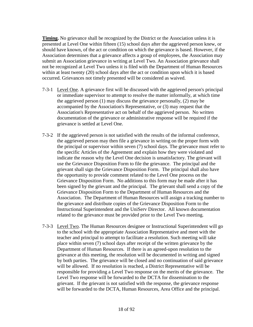**Timing.** No grievance shall be recognized by the District or the Association unless it is presented at Level One within fifteen (15) school days after the aggrieved person knew, or should have known, of the act or condition on which the grievance is based. However, if the Association determines that a grievance affects a group of employees, the Association may submit an Association grievance in writing at Level Two. An Association grievance shall not be recognized at Level Two unless it is filed with the Department of Human Resources within at least twenty (20) school days after the act or condition upon which it is based occurred. Grievances not timely presented will be considered as waived.

- 7-3-1 Level One. A grievance first will be discussed with the aggrieved person's principal or immediate supervisor to attempt to resolve the matter informally, at which time the aggrieved person (1) may discuss the grievance personally, (2) may be accompanied by the Association's Representative, or (3) may request that the Association's Representative act on behalf of the aggrieved person. No written documentation of the grievance or administrative response will be required if the grievance is settled at Level One.
- 7-3-2 If the aggrieved person is not satisfied with the results of the informal conference, the aggrieved person may then file a grievance in writing on the proper form with the principal or supervisor within seven (7) school days. The grievance must refer to the specific Articles of the Agreement and explain how they were violated and indicate the reason why the Level One decision is unsatisfactory. The grievant will use the Grievance Disposition Form to file the grievance. The principal and the grievant shall sign the Grievance Disposition Form. The principal shall also have the opportunity to provide comment related to the Level One process on the Grievance Disposition Form. No additions to this form may be made after it has been signed by the grievant and the principal. The grievant shall send a copy of the Grievance Disposition Form to the Department of Human Resources and the Association. The Department of Human Resources will assign a tracking number to the grievance and distribute copies of the Grievance Disposition Form to the Instructional Superintendent and the UniServ Director. All known documentation related to the grievance must be provided prior to the Level Two meeting.
- 7-3-3 Level Two. The Human Resources designee or Instructional Superintendent will go to the school with the appropriate Association Representative and meet with the teacher and principal to attempt to facilitate a resolution. Such meeting will take place within seven (7) school days after receipt of the written grievance by the Department of Human Resources. If there is an agreed-upon resolution to the grievance at this meeting, the resolution will be documented in writing and signed by both parties. The grievance will be closed and no continuation of said grievance will be allowed. If no resolution is reached, a District Representative will be responsible for providing a Level Two response on the merits of the grievance. The Level Two response will be forwarded to the DCTA for dissemination to the grievant. If the grievant is not satisfied with the response, the grievance response will be forwarded to the DCTA, Human Resources, Area Office and the principal.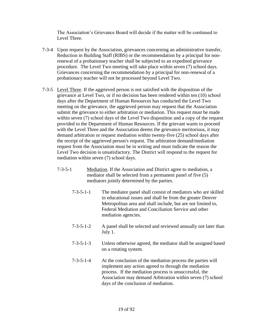The Association's Grievance Board will decide if the matter will be continued to Level Three.

- 7-3-4 Upon request by the Association, grievances concerning an administrative transfer, Reduction in Building Staff (RIBS) or the recommendation by a principal for nonrenewal of a probationary teacher shall be subjected to an expedited grievance procedure. The Level Two meeting will take place within seven (7) school days. Grievances concerning the recommendation by a principal for non-renewal of a probationary teacher will not be processed beyond Level Two.
- 7-3-5 Level Three. If the aggrieved person is not satisfied with the disposition of the grievance at Level Two, or if no decision has been rendered within ten (10) school days after the Department of Human Resources has conducted the Level Two meeting on the grievance, the aggrieved person may request that the Association submit the grievance to either arbitration or mediation. This request must be made within seven (7) school days of the Level Two disposition and a copy of the request provided to the Department of Human Resources. If the grievant wants to proceed with the Level Three and the Association deems the grievance meritorious, it may demand arbitration or request mediation within twenty-five (25) school days after the receipt of the aggrieved person's request. The arbitration demand/mediation request from the Association must be in writing and must indicate the reason the Level Two decision is unsatisfactory. The District will respond to the request for mediation within seven (7) school days.
	- 7-3-5-1 Mediation. If the Association and District agree to mediation, a mediator shall be selected from a permanent panel of five (5) mediators jointly determined by the parties.
		- 7-3-5-1-1 The mediator panel shall consist of mediators who are skilled in educational issues and shall be from the greater Denver Metropolitan area and shall include, but are not limited to, Federal Mediation and Conciliation Service and other mediation agencies.
		- 7-3-5-1-2 A panel shall be selected and reviewed annually not later than July 1.
		- 7-3-5-1-3 Unless otherwise agreed, the mediator shall be assigned based on a rotating system.
		- 7-3-5-1-4 At the conclusion of the mediation process the parties will implement any action agreed to through the mediation process. If the mediation process is unsuccessful, the Association may demand Arbitration within seven (7) school days of the conclusion of mediation.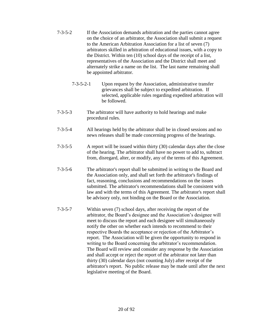- 7-3-5-2 If the Association demands arbitration and the parties cannot agree on the choice of an arbitrator, the Association shall submit a request to the American Arbitration Association for a list of seven (7) arbitrators skilled in arbitration of educational issues, with a copy to the District. Within ten (10) school days of the receipt of a list, representatives of the Association and the District shall meet and alternately strike a name on the list. The last name remaining shall be appointed arbitrator.
	- 7-3-5-2-1 Upon request by the Association, administrative transfer grievances shall be subject to expedited arbitration. If selected, applicable rules regarding expedited arbitration will be followed.
- 7-3-5-3 The arbitrator will have authority to hold hearings and make procedural rules.
- 7-3-5-4 All hearings held by the arbitrator shall be in closed sessions and no news releases shall be made concerning progress of the hearings.
- 7-3-5-5 A report will be issued within thirty (30) calendar days after the close of the hearing. The arbitrator shall have no power to add to, subtract from, disregard, alter, or modify, any of the terms of this Agreement.
- 7-3-5-6 The arbitrator's report shall be submitted in writing to the Board and the Association only, and shall set forth the arbitrator's findings of fact, reasoning, conclusions and recommendations on the issues submitted. The arbitrator's recommendations shall be consistent with law and with the terms of this Agreement. The arbitrator's report shall be advisory only, not binding on the Board or the Association.
- 7-3-5-7 Within seven (7) school days, after receiving the report of the arbitrator, the Board's designee and the Association's designee will meet to discuss the report and each designee will simultaneously notify the other on whether each intends to recommend to their respective Boards the acceptance or rejection of the Arbitrator's report. The Association will be given the opportunity to respond in writing to the Board concerning the arbitrator's recommendation. The Board will review and consider any response by the Association and shall accept or reject the report of the arbitrator not later than thirty (30) calendar days (not counting July) after receipt of the arbitrator's report. No public release may be made until after the next legislative meeting of the Board.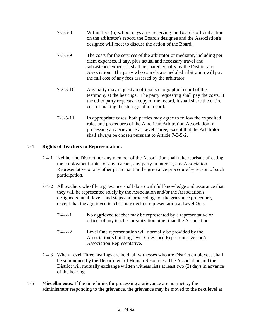- 7-3-5-8 Within five (5) school days after receiving the Board's official action on the arbitrator's report, the Board's designee and the Association's designee will meet to discuss the action of the Board.
- 7-3-5-9 The costs for the services of the arbitrator or mediator, including per diem expenses, if any, plus actual and necessary travel and subsistence expenses, shall be shared equally by the District and Association. The party who cancels a scheduled arbitration will pay the full cost of any fees assessed by the arbitrator.
- 7-3-5-10 Any party may request an official stenographic record of the testimony at the hearings. The party requesting shall pay the costs. If the other party requests a copy of the record, it shall share the entire cost of making the stenographic record.
- 7-3-5-11 In appropriate cases, both parties may agree to follow the expedited rules and procedures of the American Arbitration Association in processing any grievance at Level Three, except that the Arbitrator shall always be chosen pursuant to Article 7-3-5-2.

# 7-4 **Rights of Teachers to Representation.**

- 7-4-1 Neither the District nor any member of the Association shall take reprisals affecting the employment status of any teacher, any party in interest, any Association Representative or any other participant in the grievance procedure by reason of such participation.
- 7-4-2 All teachers who file a grievance shall do so with full knowledge and assurance that they will be represented solely by the Association and/or the Association's designee(s) at all levels and steps and proceedings of the grievance procedure, except that the aggrieved teacher may decline representation at Level One.
	- 7-4-2-1 No aggrieved teacher may be represented by a representative or officer of any teacher organization other than the Association.
	- 7-4-2-2 Level One representation will normally be provided by the Association's building-level Grievance Representative and/or Association Representative.
- 7-4-3 When Level Three hearings are held, all witnesses who are District employees shall be summoned by the Department of Human Resources. The Association and the District will mutually exchange written witness lists at least two (2) days in advance of the hearing.
- 7-5 **Miscellaneous.** If the time limits for processing a grievance are not met by the administrator responding to the grievance, the grievance may be moved to the next level at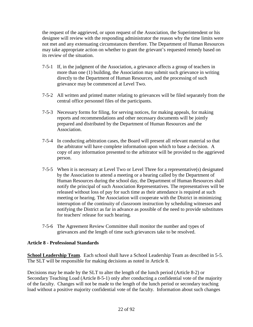the request of the aggrieved, or upon request of the Association, the Superintendent or his designee will review with the responding administrator the reason why the time limits were not met and any extenuating circumstances therefore. The Department of Human Resources may take appropriate action on whether to grant the grievant's requested remedy based on its review of the situation.

- 7-5-1 If, in the judgment of the Association, a grievance affects a group of teachers in more than one (1) building, the Association may submit such grievance in writing directly to the Department of Human Resources, and the processing of such grievance may be commenced at Level Two.
- 7-5-2 All written and printed matter relating to grievances will be filed separately from the central office personnel files of the participants.
- 7-5-3 Necessary forms for filing, for serving notices, for making appeals, for making reports and recommendations and other necessary documents will be jointly prepared and distributed by the Department of Human Resources and the Association.
- 7-5-4 In conducting arbitration cases, the Board will present all relevant material so that the arbitrator will have complete information upon which to base a decision. A copy of any information presented to the arbitrator will be provided to the aggrieved person.
- 7-5-5 When it is necessary at Level Two or Level Three for a representative(s) designated by the Association to attend a meeting or a hearing called by the Department of Human Resources during the school day, the Department of Human Resources shall notify the principal of such Association Representatives. The representatives will be released without loss of pay for such time as their attendance is required at such meeting or hearing. The Association will cooperate with the District in minimizing interruption of the continuity of classroom instruction by scheduling witnesses and notifying the District as far in advance as possible of the need to provide substitutes for teachers' release for such hearing.
- 7-5-6 The Agreement Review Committee shall monitor the number and types of grievances and the length of time such grievances take to be resolved.

# <span id="page-21-0"></span>**Article 8 - Professional Standards**

**School Leadership Team**. Each school shall have a School Leadership Team as described in 5-5. The SLT will be responsible for making decisions as noted in Article 8.

Decisions may be made by the SLT to alter the length of the lunch period (Article 8-2) or Secondary Teaching Load (Article 8-5-1) only after conducting a confidential vote of the majority of the faculty. Changes will not be made to the length of the lunch period or secondary teaching load without a positive majority confidential vote of the faculty. Information about such changes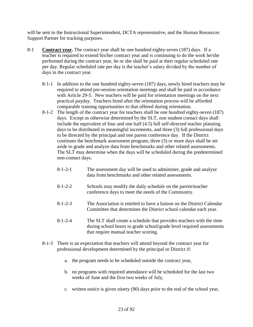will be sent to the Instructional Superintendent, DCTA representative, and the Human Resources Support Partner for tracking purposes.

- 8-1 **Contract year.** The contract year shall be one hundred eighty-seven (187) days. If a teacher is required to extend his/her contract year and is continuing to do the work he/she performed during the contract year, he or she shall be paid at their regular scheduled rate per day. Regular scheduled rate per day is the teacher's salary divided by the number of days in the contract year.
	- 8-1-1 In addition to the one hundred eighty-seven (187) days, newly hired teachers may be required to attend pre-session orientation meetings and shall be paid in accordance with Article 29-5. New teachers will be paid for orientation meetings on the next practical payday. Teachers hired after the orientation process will be afforded comparable training opportunities to that offered during orientation.
	- 8-1-2 The length of the contract year for teachers shall be one hundred eighty-seven (187) days. Except as otherwise determined by the SLT, non student contact days shall include the equivalent of four and one half (4.5) full self-directed teacher planning days to be distributed in meaningful increments, and three (3) full professional days to be directed by the principal and one parent conference day. If the District continues the benchmark assessment program, three (3) or more days shall be set aside to grade and analyze data from benchmarks and other related assessments. The SLT may determine when the days will be scheduled during the predetermined non-contact days.
		- 8-1-2-1 The assessment day will be used to administer, grade and analyze data from benchmarks and other related assessments.
		- 8-1-2-2 Schools may modify the daily schedule on the parent/teacher conference days to meet the needs of the Community.
		- 8-1-2-3 The Association is entitled to have a liaison on the District Calendar Committee that determines the District school calendar each year.
		- 8-1-2-4 The SLT shall create a schedule that provides teachers with the time during school hours to grade school/grade level required assessments that require manual teacher scoring.
	- 8-1-3 There is an expectation that teachers will attend beyond the contract year for professional development determined by the principal or District if:
		- a. the program needs to be scheduled outside the contract year,
		- b. no programs with required attendance will be scheduled for the last two weeks of June and the first two weeks of July,
		- c. written notice is given ninety (90) days prior to the end of the school year,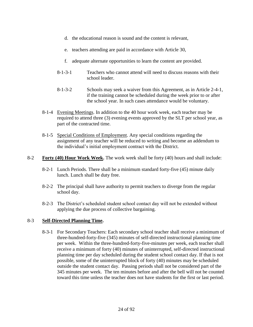- d. the educational reason is sound and the content is relevant,
- e. teachers attending are paid in accordance with Article 30,
- f. adequate alternate opportunities to learn the content are provided.
- 8-1-3-1 Teachers who cannot attend will need to discuss reasons with their school leader.
- 8-1-3-2 Schools may seek a waiver from this Agreement, as in Article 2-4-1, if the training cannot be scheduled during the week prior to or after the school year. In such cases attendance would be voluntary.
- 8-1-4 Evening Meetings. In addition to the 40 hour work week, each teacher may be required to attend three (3) evening events approved by the SLT per school year, as part of the contracted time.
- 8-1-5 Special Conditions of Employment. Any special conditions regarding the assignment of any teacher will be reduced to writing and become an addendum to the individual's initial employment contract with the District.
- 8-2 **Forty (40) Hour Work Week.** The work week shall be forty (40) hours and shall include:
	- 8-2-1 Lunch Periods. There shall be a minimum standard forty-five (45) minute daily lunch. Lunch shall be duty free.
	- 8-2-2 The principal shall have authority to permit teachers to diverge from the regular school day.
	- 8-2-3 The District's scheduled student school contact day will not be extended without applying the due process of collective bargaining.

# 8-3 **Self-Directed Planning Time.**

8-3-1 For Secondary Teachers: Each secondary school teacher shall receive a minimum of three-hundred-forty-five (345) minutes of self-directed instructional planning time per week. Within the three-hundred-forty-five-minutes per week, each teacher shall receive a minimum of forty (40) minutes of uninterrupted, self-directed instructional planning time per day scheduled during the student school contact day. If that is not possible, some of the uninterrupted block of forty (40) minutes may be scheduled outside the student contact day. Passing periods shall not be considered part of the 345 minutes per week. The ten minutes before and after the bell will not be counted toward this time unless the teacher does not have students for the first or last period.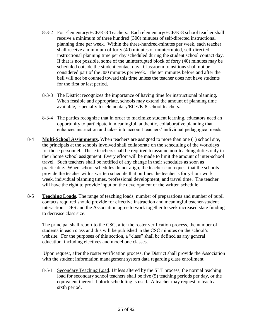- 8-3-2 For Elementary/ECE/K-8 Teachers: Each elementary/ECE/K-8 school teacher shall receive a minimum of three hundred (300) minutes of self-directed instructional planning time per week. Within the three-hundred-minutes per week, each teacher shall receive a minimum of forty (40) minutes of uninterrupted, self-directed instructional planning time per day scheduled during the student school contact day. If that is not possible, some of the uninterrupted block of forty (40) minutes may be scheduled outside the student contact day. Classroom transitions shall not be considered part of the 300 minutes per week. The ten minutes before and after the bell will not be counted toward this time unless the teacher does not have students for the first or last period.
- 8-3-3 The District recognizes the importance of having time for instructional planning. When feasible and appropriate, schools may extend the amount of planning time available, especially for elementary/ECE/K-8 school teachers.
- 8-3-4 The parties recognize that in order to maximize student learning, educators need an opportunity to participate in meaningful, authentic, collaborative planning that enhances instruction and takes into account teachers' individual pedagogical needs.
- 8-4 **Multi-School Assignments.** When teachers are assigned to more than one (1) school site, the principals at the schools involved shall collaborate on the scheduling of the workdays for those personnel. These teachers shall be required to assume non-teaching duties only in their home school assignment. Every effort will be made to limit the amount of inter-school travel. Such teachers shall be notified of any change in their schedules as soon as practicable. When school schedules do not align, the teacher can request that the schools provide the teacher with a written schedule that outlines the teacher's forty-hour work week, individual planning times, professional development, and travel time. The teacher will have the right to provide input on the development of the written schedule.
- 8-5 **Teaching Loads.** The range of teaching loads, number of preparations and number of pupil contacts required should provide for effective instruction and meaningful teacher-student interaction. DPS and the Association agree to work together to seek increased state funding to decrease class size.

The principal shall report to the CSC, after the roster verification process, the number of students in each class and this will be published in the CSC minutes on the school's website. For the purposes of this section, a "class" shall be defined as any general education, including electives and model one classes.

Upon request, after the roster verification process, the District shall provide the Association with the student information management system data regarding class enrollment.

8-5-1 Secondary Teaching Load. Unless altered by the SLT process, the normal teaching load for secondary school teachers shall be five (5) teaching periods per day, or the equivalent thereof if block scheduling is used. A teacher may request to teach a sixth period.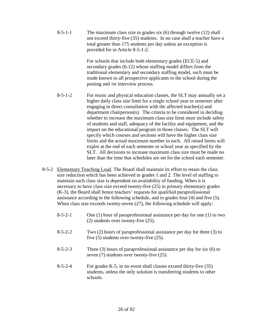8-5-1-1 The maximum class size in grades six (6) through twelve (12) shall not exceed thirty-five (35) students. In no case shall a teacher have a total greater than 175 students per day unless an exception is provided for in Article 8-5-1-2.

> For schools that include both elementary grades (ECE-5) and secondary grades (6-12) whose staffing model differs from the traditional elementary and secondary staffing model, such must be made known to all prospective applicants to the school during the posting and /or interview process.

- 8-5-1-2 For music and physical education classes, the SLT may annually set a higher daily class size limit for a single school year or semester after engaging in direct consultation with the affected teacher(s) and department chairperson(s). The criteria to be considered in deciding whether to increase the maximum class size limit must include safety of students and staff, adequacy of the facility and equipment, and the impact on the educational program in those classes. The SLT will specify which courses and sections will have the higher class size limits and the actual maximum number in each. All raised limits will expire at the end of each semester or school year as specified by the SLT. All decisions to increase maximum class size must be made no later than the time that schedules are set for the school each semester.
- 8-5-2 Elementary Teaching Load. The Board shall maintain its effort to retain the class size reduction which has been achieved in grades 1 and 2. The level of staffing to maintain such class size is dependent on availability of funding. When it is necessary to have class size exceed twenty-five (25) in primary elementary grades (K-3), the Board shall honor teachers' requests for qualified paraprofessional assistance according to the following schedule, and in grades four (4) and five (5). When class size exceeds twenty-seven (27), the following schedule will apply:
	- 8-5-2-1 One (1) hour of paraprofessional assistance per day for one (1) to two (2) students over twenty-five (25).
	- 8-5-2-2 Two (2) hours of paraprofessional assistance per day for three (3) to five (5) students over twenty-five (25).
	- 8-5-2-3 Three (3) hours of paraprofessional assistance per day for six (6) to seven (7) students over twenty-five (25).
	- 8-5-2-4 For grades K-5, in no event shall classes exceed thirty-five (35) students, unless the only solution is transferring students to other schools.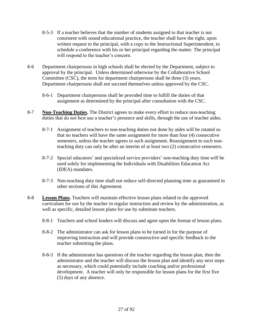- 8-5-3 If a teacher believes that the number of students assigned to that teacher is not consistent with sound educational practice, the teacher shall have the right, upon written request to the principal, with a copy to the Instructional Superintendent, to schedule a conference with his or her principal regarding the matter. The principal will respond to the teacher's concern.
- 8-6 Department chairpersons in high schools shall be elected by the Department, subject to approval by the principal. Unless determined otherwise by the Collaborative School Committee (CSC), the term for department chairpersons shall be three (3) years. Department chairpersons shall not succeed themselves unless approved by the CSC.
	- 8-6-1 Department chairpersons shall be provided time to fulfill the duties of that assignment as determined by the principal after consultation with the CSC.
- 8-7 **Non-Teaching Duties.** The District agrees to make every effort to reduce non-teaching duties that do not best use a teacher's presence and skills, through the use of teacher aides.
	- 8-7-1 Assignment of teachers to non-teaching duties not done by aides will be rotated so that no teachers will have the same assignment for more than four (4) consecutive semesters, unless the teacher agrees to such assignment. Reassignment to such nonteaching duty can only be after an interim of at least two (2) consecutive semesters.
	- 8-7-2 Special educators' and specialized service providers' non-teaching duty time will be used solely for implementing the Individuals with Disabilities Education Act (IDEA) mandates.
	- 8-7-3 Non-teaching duty time shall not reduce self-directed planning time as guaranteed in other sections of this Agreement.
- 8-8 **Lesson Plans.** Teachers will maintain effective lesson plans related to the approved curriculum for use by the teacher in regular instruction and review by the administration, as well as specific, detailed lesson plans for use by substitute teachers.
	- 8-8-1 Teachers and school leaders will discuss and agree upon the format of lesson plans.
	- 8-8-2 The administrator can ask for lesson plans to be turned in for the purpose of improving instruction and will provide constructive and specific feedback to the teacher submitting the plans.
	- 8-8-3 If the administrator has questions of the teacher regarding the lesson plan, then the administrator and the teacher will discuss the lesson plan and identify any next steps as necessary, which could potentially include coaching and/or professional development. A teacher will only be responsible for lesson plans for the first five (5) days of any absence.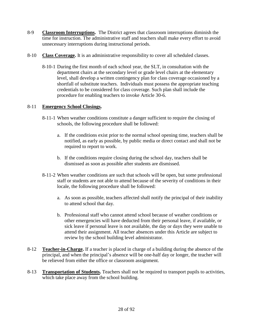- 8-9 **Classroom Interruptions.** The District agrees that classroom interruptions diminish the time for instruction. The administrative staff and teachers shall make every effort to avoid unnecessary interruptions during instructional periods.
- 8-10 **Class Coverage.** It is an administrative responsibility to cover all scheduled classes.
	- 8-10-1 During the first month of each school year, the SLT, in consultation with the department chairs at the secondary level or grade level chairs at the elementary level, shall develop a written contingency plan for class coverage occasioned by a shortfall of substitute teachers. Individuals must possess the appropriate teaching credentials to be considered for class coverage. Such plan shall include the procedure for enabling teachers to invoke Article 30-6.

# 8-11 **Emergency School Closings.**

- 8-11-1 When weather conditions constitute a danger sufficient to require the closing of schools, the following procedure shall be followed:
	- a. If the conditions exist prior to the normal school opening time, teachers shall be notified, as early as possible, by public media or direct contact and shall not be required to report to work.
	- b. If the conditions require closing during the school day, teachers shall be dismissed as soon as possible after students are dismissed.
- 8-11-2 When weather conditions are such that schools will be open, but some professional staff or students are not able to attend because of the severity of conditions in their locale, the following procedure shall be followed:
	- a. As soon as possible, teachers affected shall notify the principal of their inability to attend school that day.
	- b. Professional staff who cannot attend school because of weather conditions or other emergencies will have deducted from their personal leave, if available, or sick leave if personal leave is not available, the day or days they were unable to attend their assignment. All teacher absences under this Article are subject to review by the school building level administrator.
- 8-12 **Teacher-in-Charge.** If a teacher is placed in charge of a building during the absence of the principal, and when the principal's absence will be one-half day or longer, the teacher will be relieved from either the office or classroom assignment.
- 8-13 **Transportation of Students.** Teachers shall not be required to transport pupils to activities, which take place away from the school building.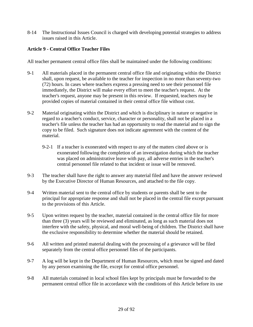8-14 The Instructional Issues Council is charged with developing potential strategies to address issues raised in this Article.

# <span id="page-28-0"></span>**Article 9 - Central Office Teacher Files**

All teacher permanent central office files shall be maintained under the following conditions:

- 9-1 All materials placed in the permanent central office file and originating within the District shall, upon request, be available to the teacher for inspection in no more than seventy-two (72) hours. In cases where teachers express a pressing need to see their personnel file immediately, the District will make every effort to meet the teacher's request. At the teacher's request, anyone may be present in this review. If requested, teachers may be provided copies of material contained in their central office file without cost.
- 9-2 Material originating within the District and which is disciplinary in nature or negative in regard to a teacher's conduct, service, character or personality, shall not be placed in a teacher's file unless the teacher has had an opportunity to read the material and to sign the copy to be filed. Such signature does not indicate agreement with the content of the material.
	- 9-2-1 If a teacher is exonerated with respect to any of the matters cited above or is exonerated following the completion of an investigation during which the teacher was placed on administrative leave with pay, all adverse entries in the teacher's central personnel file related to that incident or issue will be removed.
- 9-3 The teacher shall have the right to answer any material filed and have the answer reviewed by the Executive Director of Human Resources, and attached to the file copy.
- 9-4 Written material sent to the central office by students or parents shall be sent to the principal for appropriate response and shall not be placed in the central file except pursuant to the provisions of this Article.
- 9-5 Upon written request by the teacher, material contained in the central office file for more than three (3) years will be reviewed and eliminated, as long as such material does not interfere with the safety, physical, and moral well-being of children. The District shall have the exclusive responsibility to determine whether the material should be retained.
- 9-6 All written and printed material dealing with the processing of a grievance will be filed separately from the central office personnel files of the participants.
- 9-7 A log will be kept in the Department of Human Resources, which must be signed and dated by any person examining the file, except for central office personnel.
- 9-8 All materials contained in local school files kept by principals must be forwarded to the permanent central office file in accordance with the conditions of this Article before its use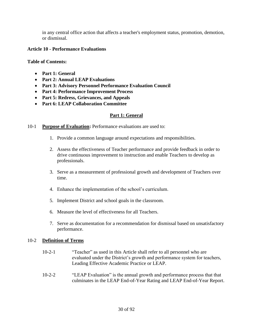in any central office action that affects a teacher's employment status, promotion, demotion, or dismissal.

#### <span id="page-29-0"></span>**Article 10 - Performance Evaluations**

**Table of Contents:**

- **Part 1: General**
- **Part 2: Annual LEAP Evaluations**
- **Part 3: Advisory Personnel Performance Evaluation Council**
- **Part 4: Performance Improvement Process**
- **Part 5: Redress, Grievances, and Appeals**
- **Part 6: LEAP Collaboration Committee**

#### **Part 1: General**

#### 10-1 **Purpose of Evaluation:** Performance evaluations are used to:

- 1. Provide a common language around expectations and responsibilities.
- 2. Assess the effectiveness of Teacher performance and provide feedback in order to drive continuous improvement to instruction and enable Teachers to develop as professionals.
- 3. Serve as a measurement of professional growth and development of Teachers over time.
- 4. Enhance the implementation of the school's curriculum.
- 5. Implement District and school goals in the classroom.
- 6. Measure the level of effectiveness for all Teachers.
- 7. Serve as documentation for a recommendation for dismissal based on unsatisfactory performance.

#### 10-2 **Definition of Terms**

- 10-2-1 "Teacher" as used in this Article shall refer to all personnel who are evaluated under the District's growth and performance system for teachers, Leading Effective Academic Practice or LEAP.
- 10-2-2 "LEAP Evaluation" is the annual growth and performance process that that culminates in the LEAP End-of-Year Rating and LEAP End-of-Year Report.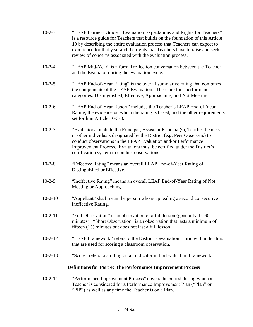| $10-2-3$  | "LEAP Fairness Guide – Evaluation Expectations and Rights for Teachers"<br>is a resource guide for Teachers that builds on the foundation of this Article<br>10 by describing the entire evaluation process that Teachers can expect to<br>experience for that year and the rights that Teachers have to raise and seek<br>review of concerns associated with the evaluation process. |
|-----------|---------------------------------------------------------------------------------------------------------------------------------------------------------------------------------------------------------------------------------------------------------------------------------------------------------------------------------------------------------------------------------------|
| $10-2-4$  | "LEAP Mid-Year" is a formal reflection conversation between the Teacher<br>and the Evaluator during the evaluation cycle.                                                                                                                                                                                                                                                             |
| $10-2-5$  | "LEAP End-of-Year Rating" is the overall summative rating that combines<br>the components of the LEAP Evaluation. There are four performance<br>categories: Distinguished, Effective, Approaching, and Not Meeting.                                                                                                                                                                   |
| $10-2-6$  | "LEAP End-of-Year Report" includes the Teacher's LEAP End-of-Year<br>Rating, the evidence on which the rating is based, and the other requirements<br>set forth in Article 10-3-3.                                                                                                                                                                                                    |
| $10-2-7$  | "Evaluators" include the Principal, Assistant Principal(s), Teacher Leaders,<br>or other individuals designated by the District (e.g. Peer Observers) to<br>conduct observations in the LEAP Evaluation and/or Performance<br>Improvement Process. Evaluators must be certified under the District's<br>certification system to conduct observations.                                 |
| $10-2-8$  | "Effective Rating" means an overall LEAP End-of-Year Rating of<br>Distinguished or Effective.                                                                                                                                                                                                                                                                                         |
| $10-2-9$  | "Ineffective Rating" means an overall LEAP End-of-Year Rating of Not<br>Meeting or Approaching.                                                                                                                                                                                                                                                                                       |
| $10-2-10$ | "Appellant" shall mean the person who is appealing a second consecutive<br>Ineffective Rating.                                                                                                                                                                                                                                                                                        |
| $10-2-11$ | "Full Observation" is an observation of a full lesson (generally 45-60<br>minutes). "Short Observation" is an observation that lasts a minimum of<br>fifteen (15) minutes but does not last a full lesson.                                                                                                                                                                            |
| $10-2-12$ | "LEAP Framework" refers to the District's evaluation rubric with indicators<br>that are used for scoring a classroom observation.                                                                                                                                                                                                                                                     |
| $10-2-13$ | "Score" refers to a rating on an indicator in the Evaluation Framework.                                                                                                                                                                                                                                                                                                               |
|           | <b>Definitions for Part 4: The Performance Improvement Process</b>                                                                                                                                                                                                                                                                                                                    |
| $10-2-14$ | "Performance Improvement Process" covers the period during which a<br>Teacher is considered for a Performance Improvement Plan ("Plan" or<br>"PIP") as well as any time the Teacher is on a Plan.                                                                                                                                                                                     |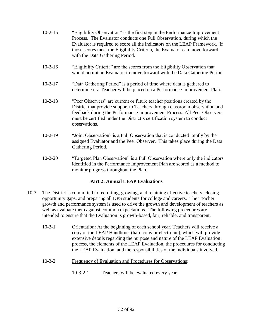- 10-2-15 "Eligibility Observation" is the first step in the Performance Improvement Process. The Evaluator conducts one Full Observation, during which the Evaluator is required to score all the indicators on the LEAP Framework. If those scores meet the Eligibility Criteria, the Evaluator can move forward with the Data Gathering Period.
- 10-2-16 "Eligibility Criteria" are the scores from the Eligibility Observation that would permit an Evaluator to move forward with the Data Gathering Period.
- 10-2-17 "Data Gathering Period" is a period of time where data is gathered to determine if a Teacher will be placed on a Performance Improvement Plan.
- 10-2-18 "Peer Observers" are current or future teacher positions created by the District that provide support to Teachers through classroom observation and feedback during the Performance Improvement Process. All Peer Observers must be certified under the District's certification system to conduct observations.
- 10-2-19 "Joint Observation" is a Full Observation that is conducted jointly by the assigned Evaluator and the Peer Observer. This takes place during the Data Gathering Period.
- 10-2-20 "Targeted Plan Observation" is a Full Observation where only the indicators identified in the Performance Improvement Plan are scored as a method to monitor progress throughout the Plan.

# **Part 2: Annual LEAP Evaluations**

- 10-3 The District is committed to recruiting, growing, and retaining effective teachers, closing opportunity gaps, and preparing all DPS students for college and careers. The Teacher growth and performance system is used to drive the growth and development of teachers as well as evaluate them against common expectations. The following procedures are intended to ensure that the Evaluation is growth-based, fair, reliable, and transparent.
	- 10-3-1 Orientation: At the beginning of each school year, Teachers will receive a copy of the LEAP Handbook (hard copy or electronic), which will provide extensive details regarding the purpose and nature of the LEAP Evaluation process, the elements of the LEAP Evaluation, the procedures for conducting the LEAP Evaluation, and the responsibilities of the individuals involved.
	- 10-3-2 Frequency of Evaluation and Procedures for Observations:
		- 10-3-2-1 Teachers will be evaluated every year.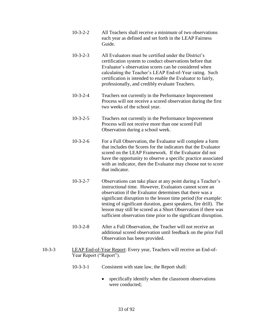- 10-3-2-2 All Teachers shall receive a minimum of two observations each year as defined and set forth in the LEAP Fairness Guide.
- 10-3-2-3 All Evaluators must be certified under the District's certification system to conduct observations before that Evaluator's observation scores can be considered when calculating the Teacher's LEAP End-of-Year rating. Such certification is intended to enable the Evaluator to fairly, professionally, and credibly evaluate Teachers.
- 10-3-2-4 Teachers not currently in the Performance Improvement Process will not receive a scored observation during the first two weeks of the school year.
- 10-3-2-5 Teachers not currently in the Performance Improvement Process will not receive more than one scored Full Observation during a school week.
- 10-3-2-6 For a Full Observation, the Evaluator will complete a form that includes the Scores for the indicators that the Evaluator scored on the LEAP Framework. If the Evaluator did not have the opportunity to observe a specific practice associated with an indicator, then the Evaluator may choose not to score that indicator.
- 10-3-2-7 Observations can take place at any point during a Teacher's instructional time. However, Evaluators cannot score an observation if the Evaluator determines that there was a significant disruption to the lesson time period (for example: testing of significant duration, guest speakers, fire drill). The lesson may still be scored as a Short Observation if there was sufficient observation time prior to the significant disruption.
- 10-3-2-8 After a Full Observation, the Teacher will not receive an additional scored observation until feedback on the prior Full Observation has been provided.
- 10-3-3 LEAP End-of-Year Report: Every year, Teachers will receive an End-of-Year Report ("Report").
	- 10-3-3-1 Consistent with state law, the Report shall:
		- specifically identify when the classroom observations were conducted;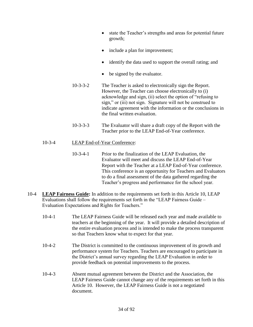- state the Teacher's strengths and areas for potential future growth;
- include a plan for improvement;
- identify the data used to support the overall rating; and
- be signed by the evaluator.
- 10-3-3-2 The Teacher is asked to electronically sign the Report. However, the Teacher can choose electronically to (i) acknowledge and sign, (ii) select the option of "refusing to sign," or (iii) not sign. Signature will not be construed to indicate agreement with the information or the conclusions in the final written evaluation.
- 10-3-3-3 The Evaluator will share a draft copy of the Report with the Teacher prior to the LEAP End-of-Year conference.

# 10-3-4 LEAP End-of-Year Conference:

- 10-3-4-1 Prior to the finalization of the LEAP Evaluation, the Evaluator will meet and discuss the LEAP End-of-Year Report with the Teacher at a LEAP End-of-Year conference. This conference is an opportunity for Teachers and Evaluators to do a final assessment of the data gathered regarding the Teacher's progress and performance for the school year.
- 10-4 **LEAP Fairness Guide:** In addition to the requirements set forth in this Article 10, LEAP Evaluations shall follow the requirements set forth in the "LEAP Fairness Guide – Evaluation Expectations and Rights for Teachers."
	- 10-4-1 The LEAP Fairness Guide will be released each year and made available to teachers at the beginning of the year. It will provide a detailed description of the entire evaluation process and is intended to make the process transparent so that Teachers know what to expect for that year.
	- 10-4-2 The District is committed to the continuous improvement of its growth and performance system for Teachers. Teachers are encouraged to participate in the District's annual survey regarding the LEAP Evaluation in order to provide feedback on potential improvements to the process.
	- 10-4-3 Absent mutual agreement between the District and the Association, the LEAP Fairness Guide cannot change any of the requirements set forth in this Article 10. However, the LEAP Fairness Guide is not a negotiated document.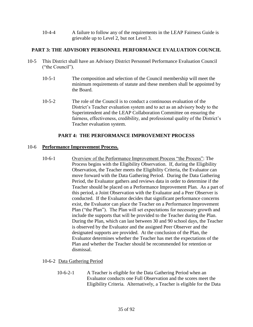10-4-4 A failure to follow any of the requirements in the LEAP Fairness Guide is grievable up to Level 2, but not Level 3.

# **PART 3: THE ADVISORY PERSONNEL PERFORMANCE EVALUATION COUNCIL**

- 10-5 This District shall have an Advisory District Personnel Performance Evaluation Council ("the Council").
	- 10-5-1 The composition and selection of the Council membership will meet the minimum requirements of statute and these members shall be appointed by the Board.
	- 10-5-2 The role of the Council is to conduct a continuous evaluation of the District's Teacher evaluation system and to act as an advisory body to the Superintendent and the LEAP Collaboration Committee on ensuring the fairness, effectiveness, credibility, and professional quality of the District's Teacher evaluation system.

# **PART 4: THE PERFORMANCE IMPROVEMENT PROCESS**

#### 10-6 **Performance Improvement Process.**

10-6-1 Overview of the Performance Improvement Process "the Process": The Process begins with the Eligibility Observation. If, during the Eligibility Observation, the Teacher meets the Eligibility Criteria, the Evaluator can move forward with the Data Gathering Period. During the Data Gathering Period, the Evaluator gathers and reviews data in order to determine if the Teacher should be placed on a Performance Improvement Plan. As a part of this period, a Joint Observation with the Evaluator and a Peer Observer is conducted. If the Evaluator decides that significant performance concerns exist, the Evaluator can place the Teacher on a Performance Improvement Plan ("the Plan"). The Plan will set expectations for necessary growth and include the supports that will be provided to the Teacher during the Plan. During the Plan, which can last between 30 and 90 school days, the Teacher is observed by the Evaluator and the assigned Peer Observer and the designated supports are provided. At the conclusion of the Plan, the Evaluator determines whether the Teacher has met the expectations of the Plan and whether the Teacher should be recommended for retention or dismissal.

# 10-6-2 Data Gathering Period

10-6-2-1 A Teacher is eligible for the Data Gathering Period when an Evaluator conducts one Full Observation and the scores meet the Eligibility Criteria. Alternatively, a Teacher is eligible for the Data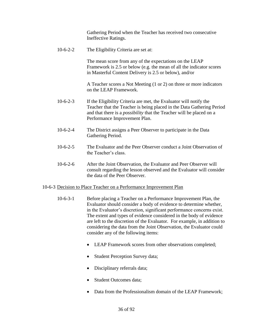Gathering Period when the Teacher has received two consecutive Ineffective Ratings.

10-6-2-2 The Eligibility Criteria are set at:

The mean score from any of the expectations on the LEAP Framework is 2.5 or below (e.g. the mean of all the indicator scores in Masterful Content Delivery is 2.5 or below), and/or

A Teacher scores a Not Meeting (1 or 2) on three or more indicators on the LEAP Framework.

- 10-6-2-3 If the Eligibility Criteria are met, the Evaluator will notify the Teacher that the Teacher is being placed in the Data Gathering Period and that there is a *possibility* that the Teacher will be placed on a Performance Improvement Plan.
- 10-6-2-4 The District assigns a Peer Observer to participate in the Data Gathering Period.
- 10-6-2-5 The Evaluator and the Peer Observer conduct a Joint Observation of the Teacher's class.
- 10-6-2-6 After the Joint Observation, the Evaluator and Peer Observer will consult regarding the lesson observed and the Evaluator will consider the data of the Peer Observer.

#### 10-6-3 Decision to Place Teacher on a Performance Improvement Plan

- 10-6-3-1 Before placing a Teacher on a Performance Improvement Plan, the Evaluator should consider a body of evidence to determine whether, in the Evaluator's discretion, significant performance concerns exist. The extent and types of evidence considered in the body of evidence are left to the discretion of the Evaluator. For example, in addition to considering the data from the Joint Observation, the Evaluator could consider any of the following items:
	- LEAP Framework scores from other observations completed;
	- Student Perception Survey data;
	- Disciplinary referrals data;
	- Student Outcomes data;
	- Data from the Professionalism domain of the LEAP Framework;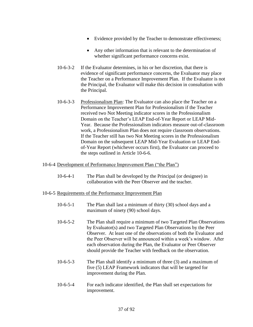- Evidence provided by the Teacher to demonstrate effectiveness;
- Any other information that is relevant to the determination of whether significant performance concerns exist.
- 10-6-3-2 If the Evaluator determines, in his or her discretion, that there is evidence of significant performance concerns, the Evaluator may place the Teacher on a Performance Improvement Plan. If the Evaluator is not the Principal, the Evaluator will make this decision in consultation with the Principal.
- 10-6-3-3 Professionalism Plan: The Evaluator can also place the Teacher on a Performance Improvement Plan for Professionalism if the Teacher received two Not Meeting indicator scores in the Professionalism Domain on the Teacher's LEAP End-of-Year Report or LEAP Mid-Year. Because the Professionalism indicators measure out-of-classroom work, a Professionalism Plan does not require classroom observations. If the Teacher still has two Not Meeting scores in the Professionalism Domain on the subsequent LEAP Mid-Year Evaluation or LEAP Endof-Year Report (whichever occurs first), the Evaluator can proceed to the steps outlined in Article 10-6-6.

#### 10-6-4 Development of Performance Improvement Plan ("the Plan")

10-6-4-1 The Plan shall be developed by the Principal (or designee) in collaboration with the Peer Observer and the teacher.

#### 10-6-5 Requirements of the Performance Improvement Plan

- 10-6-5-1 The Plan shall last a minimum of thirty (30) school days and a maximum of ninety (90) school days.
- 10-6-5-2 The Plan shall require a minimum of two Targeted Plan Observations by Evaluator(s) and two Targeted Plan Observations by the Peer Observer. At least one of the observations of both the Evaluator and the Peer Observer will be announced within a week's window. After each observation during the Plan, the Evaluator or Peer Observer should provide the Teacher with feedback on the observation.
- 10-6-5-3 The Plan shall identify a minimum of three (3) and a maximum of five (5) LEAP Framework indicators that will be targeted for improvement during the Plan.
- 10-6-5-4 For each indicator identified, the Plan shall set expectations for improvement.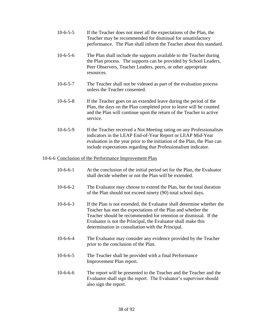- 10-6-5-5 If the Teacher does not meet all the expectations of the Plan, the Teacher may be recommended for dismissal for unsatisfactory performance. The Plan shall inform the Teacher about this standard.
- 10-6-5-6 The Plan shall include the supports available to the Teacher during the Plan process. The supports can be provided by School Leaders, Peer Observers, Teacher Leaders, peers, or other appropriate resources.
- 10-6-5-7 The Teacher shall not be videoed as part of the evaluation process unless the Teacher consented.
- 10-6-5-8 If the Teacher goes on an extended leave during the period of the Plan, the days on the Plan completed prior to leave will be counted and the Plan will continue upon the return of the Teacher to active service.
- 10-6-5-9 If the Teacher received a Not Meeting rating on any Professionalism indicators in the LEAP End-of-Year Report or LEAP Mid-Year evaluation in the year prior to the initiation of the Plan, the Plan can include expectations regarding that Professionalism indicator.

#### 10-6-6 Conclusion of the Performance Improvement Plan

- 10-6-6-1 At the conclusion of the initial period set for the Plan, the Evaluator shall decide whether or not the Plan will be extended.
- 10-6-6-2 The Evaluator may choose to extend the Plan, but the total duration of the Plan should not exceed ninety (90) total school days.
- 10-6-6-3 If the Plan is not extended, the Evaluator shall determine whether the Teacher has met the expectations of the Plan and whether the Teacher should be recommended for retention or dismissal. If the Evaluator is not the Principal, the Evaluator shall make this determination in consultation with the Principal.
- 10-6-6-4 The Evaluator may consider any evidence provided by the Teacher prior to the conclusion of the Plan.
- 10-6-6-5 The Teacher shall be provided with a final Performance Improvement Plan report.
- 10-6-6-6 The report will be presented to the Teacher and the Teacher and the Evaluator shall sign the report. The Evaluator's supervisor should also sign the report.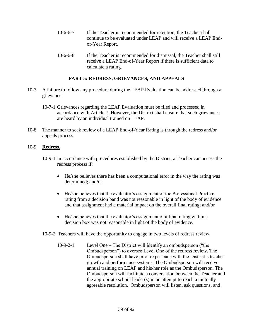- 10-6-6-7 If the Teacher is recommended for retention, the Teacher shall continue to be evaluated under LEAP and will receive a LEAP Endof-Year Report.
- 10-6-6-8 If the Teacher is recommended for dismissal, the Teacher shall still receive a LEAP End-of-Year Report if there is sufficient data to calculate a rating.

# **PART 5: REDRESS, GRIEVANCES, AND APPEALS**

- 10-7 A failure to follow any procedure during the LEAP Evaluation can be addressed through a grievance.
	- 10-7-1 Grievances regarding the LEAP Evaluation must be filed and processed in accordance with Article 7. However, the District shall ensure that such grievances are heard by an individual trained on LEAP.
- 10-8 The manner to seek review of a LEAP End-of-Year Rating is through the redress and/or appeals process.

## 10-9 **Redress.**

- 10-9-1 In accordance with procedures established by the District, a Teacher can access the redress process if:
	- He/she believes there has been a computational error in the way the rating was determined; and/or
	- He/she believes that the evaluator's assignment of the Professional Practice rating from a decision band was not reasonable in light of the body of evidence and that assignment had a material impact on the overall final rating; and/or
	- He/she believes that the evaluator's assignment of a final rating within a decision box was not reasonable in light of the body of evidence.
- 10-9-2 Teachers will have the opportunity to engage in two levels of redress review.
	- 10-9-2-1 Level One The District will identify an ombudsperson ("the Ombudsperson") to oversee Level One of the redress review. The Ombudsperson shall have prior experience with the District's teacher growth and performance systems. The Ombudsperson will receive annual training on LEAP and his/her role as the Ombudsperson. The Ombudsperson will facilitate a conversation between the Teacher and the appropriate school leader(s) in an attempt to reach a mutually agreeable resolution. Ombudsperson will listen, ask questions, and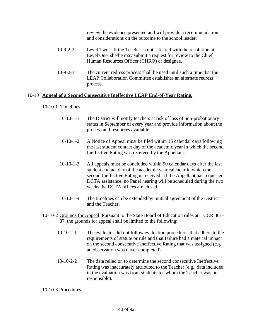review the evidence presented and will provide a recommendation and considerations on the outcome to the school leader.

- 10-9-2-2 Level Two If the Teacher is not satisfied with the resolution at Level One, she/he may submit a request for review to the Chief Human Resources Officer (CHRO) or designee.
- 10-9-2-3 The current redress process shall be used until such a time that the LEAP Collaboration Committee establishes an alternate redress process.

#### 10-10 **Appeal of a Second Consecutive Ineffective LEAP End-of-Year Rating.**

- 10-10-1 Timelines
	- 10-10-1-1 The District will notify teachers at risk of loss of non-probationary status in September of every year and provide information about the process and resources available.
	- 10-10-1-2 A Notice of Appeal must be filed within 15 calendar days following the last student contact day of the academic year in which the second Ineffective Rating was received by the Appellant.
	- 10-10-1-3 All appeals must be concluded within 90 calendar days after the last student contact day of the academic year calendar in which the second Ineffective Rating is received. If the Appellant has requested DCTA assistance, no Panel hearing will be scheduled during the two weeks the DCTA offices are closed.
	- 10-10-1-4 The timelines can be extended by mutual agreement of the District and the Teacher.
- 10-10-2 Grounds for Appeal: Pursuant to the State Board of Education rules at 1 CCR 301- 87, the grounds for appeal shall be limited to the following:
	- 10-10-2-1 The evaluator did not follow evaluation procedures that adhere to the requirements of statute or rule and that failure had a material impact on the second consecutive Ineffective Rating that was assigned (e.g. an observation was never completed).
	- 10-10-2-2 The data relied on to determine the second consecutive Ineffective Rating was inaccurately attributed to the Teacher (e.g., data included in the evaluation was from students for whom the Teacher was not responsible).

10-10-3 Procedures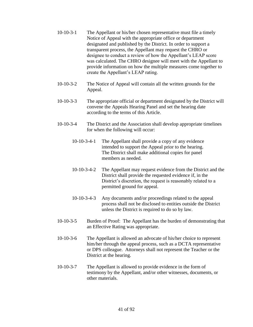- 10-10-3-1 The Appellant or his/her chosen representative must file a timely Notice of Appeal with the appropriate office or department designated and published by the District. In order to support a transparent process, the Appellant may request the CHRO or designee to conduct a review of how the Appellant's LEAP score was calculated. The CHRO designee will meet with the Appellant to provide information on how the multiple measures come together to create the Appellant's LEAP rating.
- 10-10-3-2 The Notice of Appeal will contain all the written grounds for the Appeal.
- 10-10-3-3 The appropriate official or department designated by the District will convene the Appeals Hearing Panel and set the hearing date according to the terms of this Article.
- 10-10-3-4 The District and the Association shall develop appropriate timelines for when the following will occur:
	- 10-10-3-4-1 The Appellant shall provide a copy of any evidence intended to support the Appeal prior to the hearing. The District shall make additional copies for panel members as needed.
	- 10-10-3-4-2 The Appellant may request evidence from the District and the District shall provide the requested evidence if, in the District's discretion, the request is reasonably related to a permitted ground for appeal.
	- 10-10-3-4-3 Any documents and/or proceedings related to the appeal process shall not be disclosed to entities outside the District unless the District is required to do so by law.
- 10-10-3-5 Burden of Proof: The Appellant has the burden of demonstrating that an Effective Rating was appropriate.
- 10-10-3-6 The Appellant is allowed an advocate of his/her choice to represent him/her through the appeal process, such as a DCTA representative or DPS colleague. Attorneys shall not represent the Teacher or the District at the hearing.
- 10-10-3-7 The Appellant is allowed to provide evidence in the form of testimony by the Appellant, and/or other witnesses, documents, or other materials.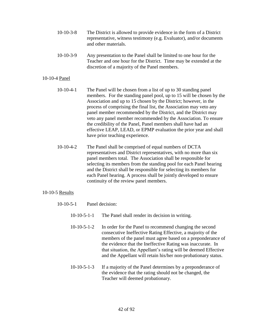- 10-10-3-8 The District is allowed to provide evidence in the form of a District representative, witness testimony (e.g. Evaluator), and/or documents and other materials.
- 10-10-3-9 Any presentation to the Panel shall be limited to one hour for the Teacher and one hour for the District. Time may be extended at the discretion of a majority of the Panel members.

#### 10-10-4 Panel

- 10-10-4-1 The Panel will be chosen from a list of up to 30 standing panel members. For the standing panel pool, up to 15 will be chosen by the Association and up to 15 chosen by the District; however, in the process of comprising the final list, the Association may veto any panel member recommended by the District, and the District may veto any panel member recommended by the Association. To ensure the credibility of the Panel, Panel members shall have had an effective LEAP, LEAD, or EPMP evaluation the prior year and shall have prior teaching experience.
- 10-10-4-2 The Panel shall be comprised of equal numbers of DCTA representatives and District representatives, with no more than six panel members total. The Association shall be responsible for selecting its members from the standing pool for each Panel hearing and the District shall be responsible for selecting its members for each Panel hearing. A process shall be jointly developed to ensure continuity of the review panel members.

#### 10-10-5 Results

- 10-10-5-1 Panel decision:
	- 10-10-5-1-1 The Panel shall render its decision in writing.
	- 10-10-5-1-2 In order for the Panel to recommend changing the second consecutive Ineffective Rating Effective, a majority of the members of the panel must agree based on a preponderance of the evidence that the Ineffective Rating was inaccurate. In that situation, the Appellant's rating will be deemed Effective and the Appellant will retain his/her non-probationary status.
	- 10-10-5-1-3 If a majority of the Panel determines by a preponderance of the evidence that the rating should not be changed, the Teacher will deemed probationary.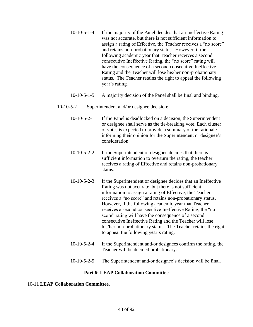- 10-10-5-1-4 If the majority of the Panel decides that an Ineffective Rating was not accurate, but there is not sufficient information to assign a rating of Effective, the Teacher receives a "no score" and retains non-probationary status. However, if the following academic year that Teacher receives a second consecutive Ineffective Rating, the "no score" rating will have the consequence of a second consecutive Ineffective Rating and the Teacher will lose his/her non-probationary status. The Teacher retains the right to appeal the following year's rating.
- 10-10-5-1-5 A majority decision of the Panel shall be final and binding.
- 10-10-5-2 Superintendent and/or designee decision:
	- 10-10-5-2-1 If the Panel is deadlocked on a decision, the Superintendent or designee shall serve as the tie-breaking vote. Each cluster of votes is expected to provide a summary of the rationale informing their opinion for the Superintendent or designee's consideration.
	- 10-10-5-2-2 If the Superintendent or designee decides that there is sufficient information to overturn the rating, the teacher receives a rating of Effective and retains non-probationary status.
	- 10-10-5-2-3 If the Superintendent or designee decides that an Ineffective Rating was not accurate, but there is not sufficient information to assign a rating of Effective, the Teacher receives a "no score" and retains non-probationary status. However, if the following academic year that Teacher receives a second consecutive Ineffective Rating, the "no score" rating will have the consequence of a second consecutive Ineffective Rating and the Teacher will lose his/her non-probationary status. The Teacher retains the right to appeal the following year's rating.
	- 10-10-5-2-4 If the Superintendent and/or designees confirm the rating, the Teacher will be deemed probationary.
	- 10-10-5-2-5 The Superintendent and/or designee's decision will be final.

#### **Part 6: LEAP Collaboration Committee**

#### 10-11 **LEAP Collaboration Committee.**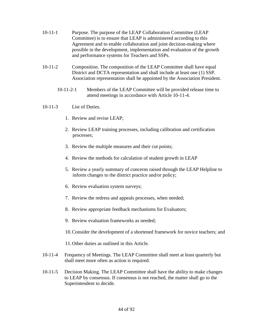- 10-11-1 Purpose. The purpose of the LEAP Collaboration Committee (LEAP Committee) is to ensure that LEAP is administered according to this Agreement and to enable collaboration and joint decision-making where possible in the development, implementation and evaluation of the growth and performance systems for Teachers and SSPs.
- 10-11-2 Composition. The composition of the LEAP Committee shall have equal District and DCTA representation and shall include at least one (1) SSP. Association representation shall be appointed by the Association President.
	- 10-11-2-1 Members of the LEAP Committee will be provided release time to attend meetings in accordance with Article 10-11-4.

## 10-11-3 List of Duties.

- 1. Review and revise LEAP;
- 2. Review LEAP training processes, including calibration and certification processes;
- 3. Review the multiple measures and their cut points;
- 4. Review the methods for calculation of student growth in LEAP
- 5. Review a yearly summary of concerns raised through the LEAP Helpline to inform changes to the district practice and/or policy;
- 6. Review evaluation system surveys;
- 7. Review the redress and appeals processes, when needed;
- 8. Review appropriate feedback mechanisms for Evaluators;
- 9. Review evaluation frameworks as needed;
- 10.Consider the development of a shortened framework for novice teachers; and
- 11.Other duties as outlined in this Article.
- 10-11-4 Frequency of Meetings. The LEAP Committee shall meet at least quarterly but shall meet more often as action is required.
- 10-11-5 Decision Making. The LEAP Committee shall have the ability to make changes to LEAP by consensus. If consensus is not reached, the matter shall go to the Superintendent to decide.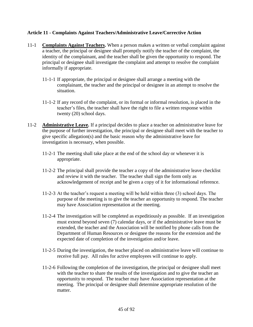# **Article 11 - Complaints Against Teachers/Administrative Leave/Corrective Action**

- 11-1 **Complaints Against Teachers.** When a person makes a written or verbal complaint against a teacher, the principal or designee shall promptly notify the teacher of the complaint, the identity of the complainant, and the teacher shall be given the opportunity to respond. The principal or designee shall investigate the complaint and attempt to resolve the complaint informally if appropriate.
	- 11-1-1 If appropriate, the principal or designee shall arrange a meeting with the complainant, the teacher and the principal or designee in an attempt to resolve the situation.
	- 11-1-2 If any record of the complaint, or its formal or informal resolution, is placed in the teacher's files, the teacher shall have the right to file a written response within twenty (20) school days.
- 11-2 **Administrative Leave.** If a principal decides to place a teacher on administrative leave for the purpose of further investigation, the principal or designee shall meet with the teacher to give specific allegation(s) and the basic reason why the administrative leave for investigation is necessary, when possible.
	- 11-2-1 The meeting shall take place at the end of the school day or whenever it is appropriate.
	- 11-2-2 The principal shall provide the teacher a copy of the administrative leave checklist and review it with the teacher. The teacher shall sign the form only as acknowledgement of receipt and be given a copy of it for informational reference.
	- 11-2-3 At the teacher's request a meeting will be held within three (3) school days. The purpose of the meeting is to give the teacher an opportunity to respond. The teacher may have Association representation at the meeting.
	- 11-2-4 The investigation will be completed as expeditiously as possible. If an investigation must extend beyond seven (7) calendar days, or if the administrative leave must be extended, the teacher and the Association will be notified by phone calls from the Department of Human Resources or designee the reasons for the extension and the expected date of completion of the investigation and/or leave.
	- 11-2-5 During the investigation, the teacher placed on administrative leave will continue to receive full pay. All rules for active employees will continue to apply.
	- 11-2-6 Following the completion of the investigation, the principal or designee shall meet with the teacher to share the results of the investigation and to give the teacher an opportunity to respond. The teacher may have Association representation at the meeting. The principal or designee shall determine appropriate resolution of the matter.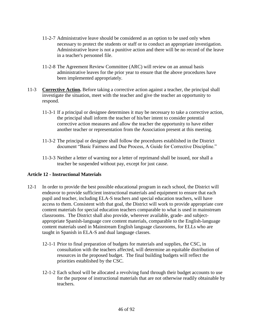- 11-2-7 Administrative leave should be considered as an option to be used only when necessary to protect the students or staff or to conduct an appropriate investigation. Administrative leave is not a punitive action and there will be no record of the leave in a teacher's personnel file.
- 11-2-8 The Agreement Review Committee (ARC) will review on an annual basis administrative leaves for the prior year to ensure that the above procedures have been implemented appropriately.
- 11-3 **Corrective Action.** Before taking a corrective action against a teacher, the principal shall investigate the situation, meet with the teacher and give the teacher an opportunity to respond.
	- 11-3-1 If a principal or designee determines it may be necessary to take a corrective action, the principal shall inform the teacher of his/her intent to consider potential corrective action measures and allow the teacher the opportunity to have either another teacher or representation from the Association present at this meeting.
	- 11-3-2 The principal or designee shall follow the procedures established in the District document "Basic Fairness and Due Process, A Guide for Corrective Discipline."
	- 11-3-3 Neither a letter of warning nor a letter of reprimand shall be issued, nor shall a teacher be suspended without pay, except for just cause.

# **Article 12 - Instructional Materials**

- 12-1 In order to provide the best possible educational program in each school, the District will endeavor to provide sufficient instructional materials and equipment to ensure that each pupil and teacher, including ELA-S teachers and special education teachers, will have access to them. Consistent with that goal, the District will work to provide appropriate core content materials for special education teachers comparable to what is used in mainstream classrooms. The District shall also provide, wherever available, grade- and subjectappropriate Spanish-language core content materials, comparable to the English-language content materials used in Mainstream English language classrooms, for ELLs who are taught in Spanish in ELA-S and dual language classes.
	- 12-1-1 Prior to final preparation of budgets for materials and supplies, the CSC, in consultation with the teachers affected, will determine an equitable distribution of resources in the proposed budget. The final building budgets will reflect the priorities established by the CSC.
	- 12-1-2 Each school will be allocated a revolving fund through their budget accounts to use for the purpose of instructional materials that are not otherwise readily obtainable by teachers.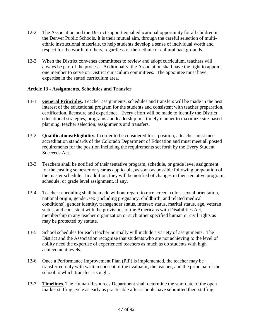- 12-2 The Association and the District support equal educational opportunity for all children in the Denver Public Schools. It is their mutual aim, through the careful selection of multiethnic instructional materials, to help students develop a sense of individual worth and respect for the worth of others, regardless of their ethnic or cultural backgrounds.
- 12-3 When the District convenes committees to review and adopt curriculum, teachers will always be part of the process. Additionally, the Association shall have the right to appoint one member to serve on District curriculum committees. The appointee must have expertise in the stated curriculum area.

# **Article 13 - Assignments, Schedules and Transfer**

- 13-1 **General Principles.** Teacher assignments, schedules and transfers will be made in the best interest of the educational program for the students and consistent with teacher preparation, certification, licensure and experience. Every effort will be made to identify the District educational strategies, programs and leadership in a timely manner to maximize site-based planning, teacher selection, assignments and transfers.
- 13-2 **Qualifications/Eligibility.** In order to be considered for a position, a teacher must meet accreditation standards of the Colorado Department of Education and must meet all posted requirements for the position including the requirements set forth by the Every Student Succeeds Act.
- 13-3 Teachers shall be notified of their tentative program, schedule, or grade level assignment for the ensuing semester or year as applicable, as soon as possible following preparation of the master schedule. In addition, they will be notified of changes in their tentative program, schedule, or grade level assignment, if any.
- 13-4 Teacher scheduling shall be made without regard to race, creed, color, sexual orientation, national origin, gender/sex (including pregnancy, childbirth, and related medical conditions), gender identity, transgender status, intersex status, marital status, age, veteran status, and consistent with the provisions of the Americans with Disabilities Act, membership in any teacher organization or such other specified human or civil rights as may be protected by statute.
- 13-5 School schedules for each teacher normally will include a variety of assignments. The District and the Association recognize that students who are not achieving to the level of ability need the expertise of experienced teachers as much as do students with high achievement levels.
- 13-6 Once a Performance Improvement Plan (PIP) is implemented, the teacher may be transferred only with written consent of the evaluator, the teacher, and the principal of the school to which transfer is sought.
- 13-7 **Timelines.** The Human Resources Department shall determine the start date of the open market staffing cycle as early as practicable after schools have submitted their staffing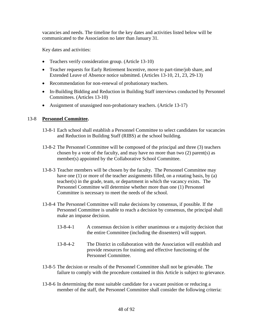vacancies and needs. The timeline for the key dates and activities listed below will be communicated to the Association no later than January 31.

Key dates and activities:

- Teachers verify consideration group. (Article 13-10)
- Teacher requests for Early Retirement Incentive, move to part-time/job share, and Extended Leave of Absence notice submitted. (Articles 13-10, 21, 23, 29-13)
- Recommendation for non-renewal of probationary teachers.
- In-Building Bidding and Reduction in Building Staff interviews conducted by Personnel Committees. (Articles 13-10)
- Assignment of unassigned non-probationary teachers. (Article 13-17)

## 13-8 **Personnel Committee.**

- 13-8-1 Each school shall establish a Personnel Committee to select candidates for vacancies and Reduction in Building Staff (RIBS) at the school building.
- 13-8-2 The Personnel Committee will be composed of the principal and three (3) teachers chosen by a vote of the faculty, and may have no more than two (2) parent(s) as member(s) appointed by the Collaborative School Committee.
- 13-8-3 Teacher members will be chosen by the faculty. The Personnel Committee may have one (1) or more of the teacher assignments filled, on a rotating basis, by (a) teacher(s) in the grade, team, or department in which the vacancy exists. The Personnel Committee will determine whether more than one (1) Personnel Committee is necessary to meet the needs of the school.
- 13-8-4 The Personnel Committee will make decisions by consensus, if possible. If the Personnel Committee is unable to reach a decision by consensus, the principal shall make an impasse decision.
	- 13-8-4-1 A consensus decision is either unanimous or a majority decision that the entire Committee (including the dissenters) will support.
	- 13-8-4-2 The District in collaboration with the Association will establish and provide resources for training and effective functioning of the Personnel Committee.
- 13-8-5 The decision or results of the Personnel Committee shall not be grievable. The failure to comply with the procedure contained in this Article is subject to grievance.
- 13-8-6 In determining the most suitable candidate for a vacant position or reducing a member of the staff, the Personnel Committee shall consider the following criteria: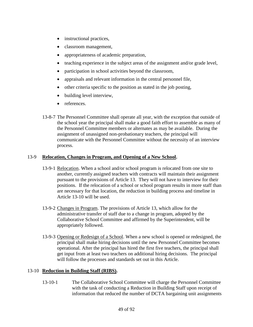- instructional practices,
- classroom management,
- appropriateness of academic preparation,
- teaching experience in the subject areas of the assignment and/or grade level,
- participation in school activities beyond the classroom,
- appraisals and relevant information in the central personnel file,
- other criteria specific to the position as stated in the job posting,
- building level interview,
- references.
- 13-8-7 The Personnel Committee shall operate all year, with the exception that outside of the school year the principal shall make a good faith effort to assemble as many of the Personnel Committee members or alternates as may be available. During the assignment of unassigned non-probationary teachers, the principal will communicate with the Personnel Committee without the necessity of an interview process.

#### 13-9 **Relocation, Changes in Program, and Opening of a New School.**

- 13-9-1 Relocation. When a school and/or school program is relocated from one site to another, currently assigned teachers with contracts will maintain their assignment pursuant to the provisions of Article 13. They will not have to interview for their positions. If the relocation of a school or school program results in more staff than are necessary for that location, the reduction in building process and timeline in Article 13-10 will be used.
- 13-9-2 Changes in Program. The provisions of Article 13, which allow for the administrative transfer of staff due to a change in program, adopted by the Collaborative School Committee and affirmed by the Superintendent, will be appropriately followed.
- 13-9-3 Opening or Redesign of a School. When a new school is opened or redesigned, the principal shall make hiring decisions until the new Personnel Committee becomes operational. After the principal has hired the first five teachers, the principal shall get input from at least two teachers on additional hiring decisions. The principal will follow the processes and standards set out in this Article.

#### 13-10 **Reduction in Building Staff (RIBS).**

13-10-1 The Collaborative School Committee will charge the Personnel Committee with the task of conducting a Reduction in Building Staff upon receipt of information that reduced the number of DCTA bargaining unit assignments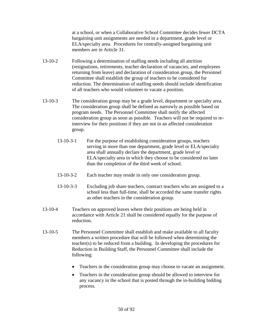at a school, or when a Collaborative School Committee decides fewer DCTA bargaining unit assignments are needed in a department, grade level or ELA/specialty area. Procedures for centrally-assigned bargaining unit members are in Article 31.

- 13-10-2 Following a determination of staffing needs including all attrition (resignations, retirements, teacher declaration of vacancies, and employees returning from leave) and declaration of consideration group, the Personnel Committee shall establish the group of teachers to be considered for reduction. The determination of staffing needs should include identification of all teachers who would volunteer to vacate a position.
- 13-10-3 The consideration group may be a grade level, department or specialty area. The consideration group shall be defined as narrowly as possible based on program needs. The Personnel Committee shall notify the affected consideration group as soon as possible. Teachers will not be required to reinterview for their positions if they are not in an affected consideration group.
	- 13-10-3-1 For the purpose of establishing consideration groups, teachers serving in more than one department, grade level or ELA/specialty area shall annually declare the department, grade level or ELA/specialty area in which they choose to be considered no later than the completion of the third week of school.
	- 13-10-3-2 Each teacher may reside in only one consideration group.
	- 13-10-3-3 Excluding job share teachers, contract teachers who are assigned to a school less than full-time, shall be accorded the same transfer rights as other teachers in the consideration group.
- 13-10-4 Teachers on approved leaves where their positions are being held in accordance with Article 21 shall be considered equally for the purpose of reduction.
- 13-10-5 The Personnel Committee shall establish and make available to all faculty members a written procedure that will be followed when determining the teacher(s) to be reduced from a building. In developing the procedures for Reduction in Building Staff, the Personnel Committee shall include the following:
	- Teachers in the consideration group may choose to vacate an assignment.
	- Teachers in the consideration group should be allowed to interview for any vacancy in the school that is posted through the in-building bidding process.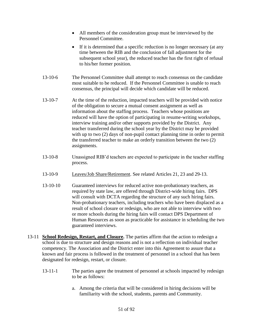- All members of the consideration group must be interviewed by the Personnel Committee.
- If it is determined that a specific reduction is no longer necessary (at any time between the RIB and the conclusion of fall adjustment for the subsequent school year), the reduced teacher has the first right of refusal to his/her former position.
- 13-10-6 The Personnel Committee shall attempt to reach consensus on the candidate most suitable to be reduced. If the Personnel Committee is unable to reach consensus, the principal will decide which candidate will be reduced.
- 13-10-7 At the time of the reduction, impacted teachers will be provided with notice of the obligation to secure a mutual consent assignment as well as information about the staffing process. Teachers whose positions are reduced will have the option of participating in resume-writing workshops, interview training and/or other supports provided by the District. Any teacher transferred during the school year by the District may be provided with up to two (2) days of non-pupil contact planning time in order to permit the transferred teacher to make an orderly transition between the two (2) assignments.
- 13-10-8 Unassigned RIB'd teachers are expected to participate in the teacher staffing process.
- 13-10-9 Leaves/Job Share/Retirement. See related Articles 21, 23 and 29-13.
- 13-10-10 Guaranteed interviews for reduced active non-probationary teachers, as required by state law, are offered through District-wide hiring fairs. DPS will consult with DCTA regarding the structure of any such hiring fairs. Non-probationary teachers, including teachers who have been displaced as a result of school closure or redesign, who are not able to interview with two or more schools during the hiring fairs will contact DPS Department of Human Resources as soon as practicable for assistance in scheduling the two guaranteed interviews.
- 13-11 **School Redesign, Restart, and Closure.** The parties affirm that the action to redesign a school is due to structure and design reasons and is not a reflection on individual teacher competency. The Association and the District enter into this Agreement to assure that a known and fair process is followed in the treatment of personnel in a school that has been designated for redesign, restart, or closure.
	- 13-11-1 The parties agree the treatment of personnel at schools impacted by redesign to be as follows:
		- a. Among the criteria that will be considered in hiring decisions will be familiarity with the school, students, parents and Community.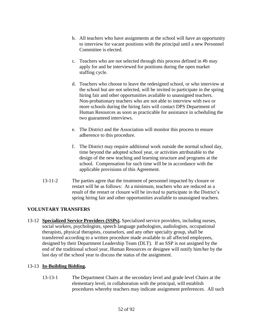- b. All teachers who have assignments at the school will have an opportunity to interview for vacant positions with the principal until a new Personnel Committee is elected.
- c. Teachers who are not selected through this process defined in #b may apply for and be interviewed for positions during the open market staffing cycle.
- d. Teachers who choose to leave the redesigned school, or who interview at the school but are not selected, will be invited to participate in the spring hiring fair and other opportunities available to unassigned teachers. Non-probationary teachers who are not able to interview with two or more schools during the hiring fairs will contact DPS Department of Human Resources as soon as practicable for assistance in scheduling the two guaranteed interviews.
- e. The District and the Association will monitor this process to ensure adherence to this procedure.
- f. The District may require additional work outside the normal school day, time beyond the adopted school year, or activities attributable to the design of the new teaching and learning structure and programs at the school. Compensation for such time will be in accordance with the applicable provisions of this Agreement.
- 13-11-2 The parties agree that the treatment of personnel impacted by closure or restart will be as follows: At a minimum, teachers who are reduced as a result of the restart or closure will be invited to participate in the District's spring hiring fair and other opportunities available to unassigned teachers.

# **VOLUNTARY TRANSFERS**

13-12 **Specialized Service Providers (SSPs).** Specialized service providers, including nurses, social workers, psychologists, speech language pathologists, audiologists, occupational therapists, physical therapists, counselors, and any other specialty group, shall be transferred according to a written procedure made available to all affected employees, designed by their Department Leadership Team (DLT). If an SSP is not assigned by the end of the traditional school year, Human Resources or designee will notify him/her by the last day of the school year to discuss the status of the assignment.

# 13-13 **In-Building Bidding.**

13-13-1 The Department Chairs at the secondary level and grade level Chairs at the elementary level, in collaboration with the principal, will establish procedures whereby teachers may indicate assignment preferences. All such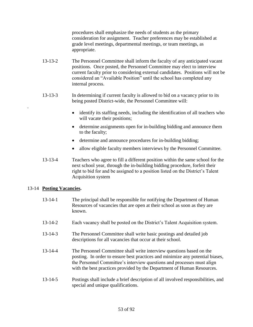procedures shall emphasize the needs of students as the primary consideration for assignment. Teacher preferences may be established at grade level meetings, departmental meetings, or team meetings, as appropriate.

- 13-13-2 The Personnel Committee shall inform the faculty of any anticipated vacant positions. Once posted, the Personnel Committee may elect to interview current faculty prior to considering external candidates. Positions will not be considered an "Available Position" until the school has completed any internal process.
- 13-13-3 In determining if current faculty is allowed to bid on a vacancy prior to its being posted District-wide, the Personnel Committee will:
	- identify its staffing needs, including the identification of all teachers who will vacate their positions;
	- determine assignments open for in-building bidding and announce them to the faculty;
	- determine and announce procedures for in-building bidding;
	- allow eligible faculty members interviews by the Personnel Committee.
- 13-13-4 Teachers who agree to fill a different position within the same school for the next school year, through the in-building bidding procedure, forfeit their right to bid for and be assigned to a position listed on the District's Talent Acquisition system

# 13-14 **Posting Vacancies.**

.

- 13-14-1 The principal shall be responsible for notifying the Department of Human Resources of vacancies that are open at their school as soon as they are known.
- 13-14-2 Each vacancy shall be posted on the District's Talent Acquisition system.
- 13-14-3 The Personnel Committee shall write basic postings and detailed job descriptions for all vacancies that occur at their school.
- 13-14-4 The Personnel Committee shall write interview questions based on the posting. In order to ensure best practices and minimize any potential biases, the Personnel Committee's interview questions and processes must align with the best practices provided by the Department of Human Resources.
- 13-14-5 Postings shall include a brief description of all involved responsibilities, and special and unique qualifications.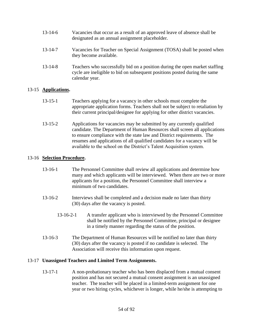| $13 - 14 - 6$ | Vacancies that occur as a result of an approved leave of absence shall be |
|---------------|---------------------------------------------------------------------------|
|               | designated as an annual assignment placeholder.                           |

- 13-14-7 Vacancies for Teacher on Special Assignment (TOSA) shall be posted when they become available.
- 13-14-8 Teachers who successfully bid on a position during the open market staffing cycle are ineligible to bid on subsequent positions posted during the same calendar year.

## 13-15 **Applications.**

- 13-15-1 Teachers applying for a vacancy in other schools must complete the appropriate application forms. Teachers shall not be subject to retaliation by their current principal/designee for applying for other district vacancies.
- 13-15-2 Applications for vacancies may be submitted by any currently qualified candidate. The Department of Human Resources shall screen all applications to ensure compliance with the state law and District requirements. The resumes and applications of all qualified candidates for a vacancy will be available to the school on the District's Talent Acquisition system.

## 13-16 **Selection Procedure.**

- 13-16-1 The Personnel Committee shall review all applications and determine how many and which applicants will be interviewed. When there are two or more applicants for a position, the Personnel Committee shall interview a minimum of two candidates.
- 13-16-2 Interviews shall be completed and a decision made no later than thirty (30) days after the vacancy is posted.
	- 13-16-2-1 A transfer applicant who is interviewed by the Personnel Committee shall be notified by the Personnel Committee, principal or designee in a timely manner regarding the status of the position.
- 13-16-3 The Department of Human Resources will be notified no later than thirty (30) days after the vacancy is posted if no candidate is selected. The Association will receive this information upon request.

#### 13-17 **Unassigned Teachers and Limited Term Assignments.**

13-17-1 A non-probationary teacher who has been displaced from a mutual consent position and has not secured a mutual consent assignment is an unassigned teacher. The teacher will be placed in a limited-term assignment for one year or two hiring cycles, whichever is longer, while he/she is attempting to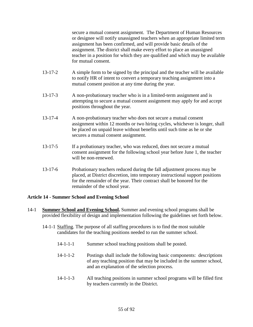secure a mutual consent assignment.The Department of Human Resources or designee will notify unassigned teachers when an appropriate limited term assignment has been confirmed, and will provide basic details of the assignment. The district shall make every effort to place an unassigned teacher in a position for which they are qualified and which may be available for mutual consent.

- 13-17-2 A simple form to be signed by the principal and the teacher will be available to notify HR of intent to convert a temporary teaching assignment into a mutual consent position at any time during the year.
- 13-17-3 A non-probationary teacher who is in a limited-term assignment and is attempting to secure a mutual consent assignment may apply for and accept positions throughout the year.
- 13-17-4 A non-probationary teacher who does not secure a mutual consent assignment within 12 months or two hiring cycles, whichever is longer, shall be placed on unpaid leave without benefits until such time as he or she secures a mutual consent assignment.
- 13-17-5 If a probationary teacher, who was reduced, does not secure a mutual consent assignment for the following school year before June 1, the teacher will be non-renewed.
- 13-17-6 Probationary teachers reduced during the fall adjustment process may be placed, at District discretion, into temporary instructional support positions for the remainder of the year. Their contract shall be honored for the remainder of the school year.

# **Article 14 - Summer School and Evening School**

- 14-1 **Summer School and Evening School.** Summer and evening school programs shall be provided flexibility of design and implementation following the guidelines set forth below.
	- 14-1-1 Staffing. The purpose of all staffing procedures is to find the most suitable candidates for the teaching positions needed to run the summer school.
		- 14-1-1-1 Summer school teaching positions shall be posted.
		- 14-1-1-2 Postings shall include the following basic components: descriptions of any teaching position that may be included in the summer school, and an explanation of the selection process.
		- 14-1-1-3 All teaching positions in summer school programs will be filled first by teachers currently in the District.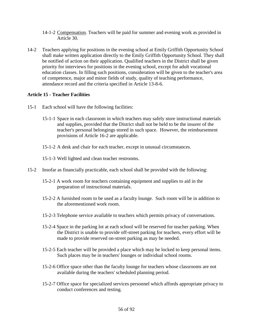- 14-1-2 Compensation. Teachers will be paid for summer and evening work as provided in Article 30.
- 14-2 Teachers applying for positions in the evening school at Emily Griffith Opportunity School shall make written application directly to the Emily Griffith Opportunity School. They shall be notified of action on their application. Qualified teachers in the District shall be given priority for interviews for positions in the evening school, except for adult vocational education classes. In filling such positions, consideration will be given to the teacher's area of competence, major and minor fields of study, quality of teaching performance, attendance record and the criteria specified in Article 13-8-6.

# **Article 15 - Teacher Facilities**

- 15-1 Each school will have the following facilities:
	- 15-1-1 Space in each classroom in which teachers may safely store instructional materials and supplies, provided that the District shall not be held to be the insurer of the teacher's personal belongings stored in such space. However, the reimbursement provisions of Article 16-2 are applicable.
	- 15-1-2 A desk and chair for each teacher, except in unusual circumstances.
	- 15-1-3 Well lighted and clean teacher restrooms.
- 15-2 Insofar as financially practicable, each school shall be provided with the following:
	- 15-2-1 A work room for teachers containing equipment and supplies to aid in the preparation of instructional materials.
	- 15-2-2 A furnished room to be used as a faculty lounge. Such room will be in addition to the aforementioned work room.
	- 15-2-3 Telephone service available to teachers which permits privacy of conversations.
	- 15-2-4 Space in the parking lot at each school will be reserved for teacher parking. When the District is unable to provide off-street parking for teachers, every effort will be made to provide reserved on-street parking as may be needed.
	- 15-2-5 Each teacher will be provided a place which may be locked to keep personal items. Such places may be in teachers' lounges or individual school rooms.
	- 15-2-6 Office space other than the faculty lounge for teachers whose classrooms are not available during the teachers' scheduled planning period.
	- 15-2-7 Office space for specialized services personnel which affords appropriate privacy to conduct conferences and testing.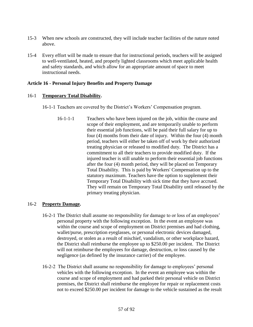- 15-3 When new schools are constructed, they will include teacher facilities of the nature noted above.
- 15-4 Every effort will be made to ensure that for instructional periods, teachers will be assigned to well-ventilated, heated, and properly lighted classrooms which meet applicable health and safety standards, and which allow for an appropriate amount of space to meet instructional needs.

## **Article 16 - Personal Injury Benefits and Property Damage**

## 16-1 **Temporary Total Disability.**

- 16-1-1 Teachers are covered by the District's Workers' Compensation program.
	- 16-1-1-1 Teachers who have been injured on the job, within the course and scope of their employment, and are temporarily unable to perform their essential job functions, will be paid their full salary for up to four (4) months from their date of injury. Within the four (4) month period, teachers will either be taken off of work by their authorized treating physician or released to modified duty. The District has a commitment to all their teachers to provide modified duty. If the injured teacher is still unable to perform their essential job functions after the four (4) month period, they will be placed on Temporary Total Disability. This is paid by Workers' Compensation up to the statutory maximum. Teachers have the option to supplement their Temporary Total Disability with sick time that they have accrued. They will remain on Temporary Total Disability until released by the primary treating physician.

# 16-2 **Property Damage.**

- 16-2-1 The District shall assume no responsibility for damage to or loss of an employees' personal property with the following exception. In the event an employee was within the course and scope of employment on District premises and had clothing, wallet/purse, prescription eyeglasses, or personal electronic devices damaged, destroyed, or stolen as a result of mischief, vandalism, or other workplace hazard, the District shall reimburse the employee up to \$250.00 per incident. The District will not reimburse the employees for damage, destruction, or loss caused by the negligence (as defined by the insurance carrier) of the employee.
- 16-2-2 The District shall assume no responsibility for damage to employees' personal vehicles with the following exception. In the event an employee was within the course and scope of employment and had parked their personal vehicle on District premises, the District shall reimburse the employee for repair or replacement costs not to exceed \$250.00 per incident for damage to the vehicle sustained as the result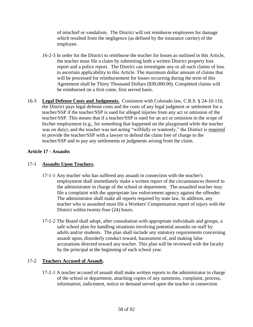of mischief or vandalism. The District will not reimburse employees for damage which resulted from the negligence (as defined by the insurance carrier) of the employee.

- 16-2-3 In order for the District to reimburse the teacher for losses as outlined in this Article, the teacher must file a claim by submitting both a written District property loss report and a police report. The District can investigate any or all such claims of loss to ascertain applicability to this Article. The maximum dollar amount of claims that will be processed for reimbursement for losses occurring during the term of this Agreement shall be Thirty Thousand Dollars (\$30,000.00). Completed claims will be reimbursed on a first come, first served basis.
- 16-3 **Legal Defense Costs and Judgments.** Consistent with Colorado law, C.R.S. § 24-10-110, the District pays legal defense costs and the costs of any legal judgment or settlement for a teacher/SSP if the teacher/SSP is sued for alleged injuries from any act or omission of the teacher/SSP. This means that if a teacher/SSP is sued for an act or omission in the scope of his/her employment (e.g., for something that happened on the playground while the teacher was on duty), and the teacher was not acting "willfully or wantonly," the District is required to provide the teacher/SSP with a lawyer to defend the claim free of charge to the teacher/SSP and to pay any settlements or judgments arising from the claim.

# **Article 17 - Assaults**

# 17-1 **Assaults Upon Teachers.**

- 17-1-1 Any teacher who has suffered any assault in connection with the teacher's employment shall immediately make a written report of the circumstances thereof to the administrator in charge of the school or department. The assaulted teacher may file a complaint with the appropriate law enforcement agency against the offender. The administrator shall make all reports required by state law. In addition, any teacher who is assaulted must file a Workers' Compensation report of injury with the District within twenty-four (24) hours.
- 17-1-2 The Board shall adopt, after consultation with appropriate individuals and groups, a safe school plan for handling situations involving potential assaults on staff by adults and/or students. The plan shall include any statutory requirements concerning assault upon, disorderly conduct toward, harassment of, and making false accusations directed toward any teacher. This plan will be reviewed with the faculty by the principal at the beginning of each school year.

# 17-2 **Teachers Accused of Assault.**

17-2-1 A teacher accused of assault shall make written reports to the administrator in charge of the school or department, attaching copies of any summons, complaint, process, information, indictment, notice or demand served upon the teacher in connection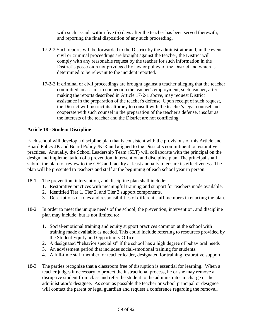with such assault within five (5) days after the teacher has been served therewith, and reporting the final disposition of any such proceeding.

- 17-2-2 Such reports will be forwarded to the District by the administrator and, in the event civil or criminal proceedings are brought against the teacher, the District will comply with any reasonable request by the teacher for such information in the District's possession not privileged by law or policy of the District and which is determined to be relevant to the incident reported.
- 17-2-3 If criminal or civil proceedings are brought against a teacher alleging that the teacher committed an assault in connection the teacher's employment, such teacher, after making the reports described in Article 17-2-1 above, may request District assistance in the preparation of the teacher's defense. Upon receipt of such request, the District will instruct its attorney to consult with the teacher's legal counsel and cooperate with such counsel in the preparation of the teacher's defense, insofar as the interests of the teacher and the District are not conflicting.

# **Article 18 - Student Discipline**

Each school will develop a discipline plan that is consistent with the provisions of this Article and Board Policy JK and Board Policy JK-R and aligned to the District's commitment to restorative practices. Annually, the School Leadership Team (SLT) will collaborate with the principal on the design and implementation of a prevention, intervention and discipline plan. The principal shall submit the plan for review to the CSC and faculty at least annually to ensure its effectiveness. The plan will be presented to teachers and staff at the beginning of each school year in person.

- 18-1 The prevention, intervention, and discipline plan shall include:
	- 1. Restorative practices with meaningful training and support for teachers made available.
	- 2. Identified Tier 1, Tier 2, and Tier 3 support components.
	- 3. Descriptions of roles and responsibilities of different staff members in enacting the plan.
- 18-2 In order to meet the unique needs of the school, the prevention, intervention, and discipline plan may include, but is not limited to:
	- 1. Social-emotional training and equity support practices common at the school with training made available as needed. This could include referring to resources provided by the Student Equity and Opportunity Office.
	- 2. A designated "behavior specialist" if the school has a high degree of behavioral needs
	- 3. An advisement period that includes social-emotional training for students.
	- 4. A full-time staff member, or teacher leader, designated for training restorative support
- 18-3 The parties recognize that a classroom free of disruption is essential for learning. When a teacher judges it necessary to protect the instructional process, he or she may remove a disruptive student from class and refer the student to the administrator in charge or the administrator's designee. As soon as possible the teacher or school principal or designee will contact the parent or legal guardian and request a conference regarding the removal.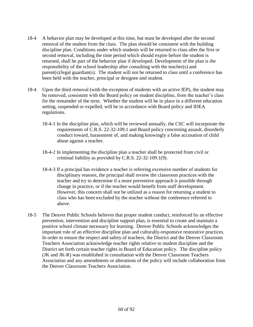- 18-4 A behavior plan may be developed at this time, but must be developed after the second removal of the student from the class. The plan should be consistent with the building discipline plan. Conditions under which students will be returned to class after the first or second removal, including the time period which should expire before the student is returned, shall be part of the behavior plan if developed. Development of the plan is the responsibility of the school leadership after consulting with the teacher(s) and parent(s)/legal guardian(s). The student will not be returned to class until a conference has been held with the teacher, principal or designee and student.
- 18-4 Upon the third removal (with the exception of students with an active IEP), the student may be removed, consistent with the Board policy on student discipline, from the teacher's class for the remainder of the term. Whether the student will be in place in a different education setting, suspended or expelled, will be in accordance with Board policy and IDEA regulations.
	- 18-4-1 In the discipline plan, which will be reviewed annually, the CSC will incorporate the requirements of C.R.S. 22-32-109.1 and Board policy concerning assault, disorderly conduct toward, harassment of, and making knowingly a false accusation of child abuse against a teacher.
	- 18-4-2 In implementing the discipline plan a teacher shall be protected from civil or criminal liability as provided by C.R.S. 22-32-109.1(9).
	- 18-4-3 If a principal has evidence a teacher is referring excessive number of students for disciplinary reasons, the principal shall review the classroom practices with the teacher and try to determine if a more preventive approach is possible through change in practice, or if the teacher would benefit from staff development. However, this concern shall not be utilized as a reason for returning a student to class who has been excluded by the teacher without the conference referred to above.
- 18-5 The Denver Public Schools believes that proper student conduct, reinforced by an effective prevention, intervention and discipline support plan, is essential to create and maintain a positive school climate necessary for learning. Denver Public Schools acknowledges the important role of an effective discipline plan and culturally-responsive restorative practices. In order to ensure the respect and safety of teachers, the District and the Denver Classroom Teachers Association acknowledge teacher rights relative to student discipline and the District set forth certain teacher rights in Board of Education policy. The discipline policy (JK and JK-R) was established in consultation with the Denver Classroom Teachers Association and any amendments or alterations of the policy will include collaboration from the Denver Classroom Teachers Association.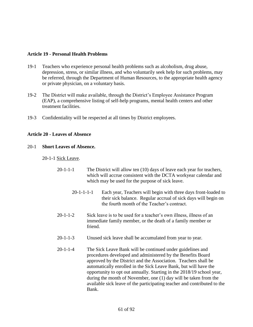#### **Article 19 - Personal Health Problems**

- 19-1 Teachers who experience personal health problems such as alcoholism, drug abuse, depression, stress, or similar illness, and who voluntarily seek help for such problems, may be referred, through the Department of Human Resources, to the appropriate health agency or private physician, on a voluntary basis.
- 19-2 The District will make available, through the District's Employee Assistance Program (EAP), a comprehensive listing of self-help programs, mental health centers and other treatment facilities.
- 19-3 Confidentiality will be respected at all times by District employees.

#### **Article 20 - Leaves of Absence**

#### 20-1 **Short Leaves of Absence.**

20-1-1 Sick Leave.

- 20-1-1-1 The District will allow ten (10) days of leave each year for teachers, which will accrue consistent with the DCTA workyear calendar and which may be used for the purpose of sick leave.
	- 20-1-1-1-1 Each year, Teachers will begin with three days front-loaded to their sick balance. Regular accrual of sick days will begin on the fourth month of the Teacher's contract.
- 20-1-1-2 Sick leave is to be used for a teacher's own illness, illness of an immediate family member, or the death of a family member or friend.
- 20-1-1-3 Unused sick leave shall be accumulated from year to year.
- 20-1-1-4 The Sick Leave Bank will be continued under guidelines and procedures developed and administered by the Benefits Board approved by the District and the Association. Teachers shall be automatically enrolled in the Sick Leave Bank, but will have the opportunity to opt out annually. Starting in the 2018/19 school year, during the month of November, one (1) day will be taken from the available sick leave of the participating teacher and contributed to the Bank.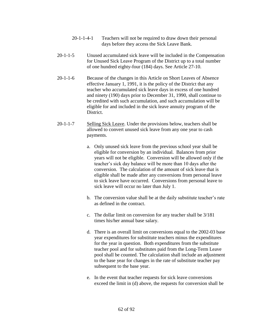- 20-1-1-4-1 Teachers will not be required to draw down their personal days before they access the Sick Leave Bank.
- 20-1-1-5 Unused accumulated sick leave will be included in the Compensation for Unused Sick Leave Program of the District up to a total number of one hundred eighty-four (184) days. See Article 27-10.
- 20-1-1-6 Because of the changes in this Article on Short Leaves of Absence effective January 1, 1991, it is the policy of the District that any teacher who accumulated sick leave days in excess of one hundred and ninety (190) days prior to December 31, 1990, shall continue to be credited with such accumulation, and such accumulation will be eligible for and included in the sick leave annuity program of the District.
- 20-1-1-7 Selling Sick Leave. Under the provisions below, teachers shall be allowed to convert unused sick leave from any one year to cash payments.
	- a. Only unused sick leave from the previous school year shall be eligible for conversion by an individual. Balances from prior years will not be eligible. Conversion will be allowed only if the teacher's sick day balance will be more than 10 days after the conversion. The calculation of the amount of sick leave that is eligible shall be made after any conversions from personal leave to sick leave have occurred. Conversions from personal leave to sick leave will occur no later than July 1.
	- b. The conversion value shall be at the daily substitute teacher's rate as defined in the contract.
	- c. The dollar limit on conversion for any teacher shall be 3/181 times his/her annual base salary.
	- d. There is an overall limit on conversions equal to the 2002-03 base year expenditures for substitute teachers minus the expenditures for the year in question. Both expenditures from the substitute teacher pool and for substitutes paid from the Long-Term Leave pool shall be counted. The calculation shall include an adjustment to the base year for changes in the rate of substitute teacher pay subsequent to the base year.
	- e. In the event that teacher requests for sick leave conversions exceed the limit in (d) above, the requests for conversion shall be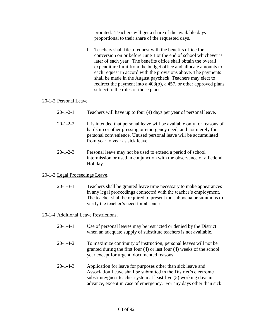prorated. Teachers will get a share of the available days proportional to their share of the requested days.

f. Teachers shall file a request with the benefits office for conversion on or before June 1 or the end of school whichever is later of each year. The benefits office shall obtain the overall expenditure limit from the budget office and allocate amounts to each request in accord with the provisions above. The payments shall be made in the August paycheck. Teachers may elect to redirect the payment into a 403(b), a 457, or other approved plans subject to the rules of those plans.

## 20-1-2 Personal Leave.

- 20-1-2-1 Teachers will have up to four (4) days per year of personal leave.
- 20-1-2-2 It is intended that personal leave will be available only for reasons of hardship or other pressing or emergency need, and not merely for personal convenience. Unused personal leave will be accumulated from year to year as sick leave.
- 20-1-2-3 Personal leave may not be used to extend a period of school intermission or used in conjunction with the observance of a Federal Holiday.

# 20-1-3 Legal Proceedings Leave.

20-1-3-1 Teachers shall be granted leave time necessary to make appearances in any legal proceedings connected with the teacher's employment. The teacher shall be required to present the subpoena or summons to verify the teacher's need for absence.

#### 20-1-4 Additional Leave Restrictions.

- 20-1-4-1 Use of personal leaves may be restricted or denied by the District when an adequate supply of substitute teachers is not available.
- 20-1-4-2 To maximize continuity of instruction, personal leaves will not be granted during the first four (4) or last four (4) weeks of the school year except for urgent, documented reasons.
- 20-1-4-3 Application for leave for purposes other than sick leave and Association Leave shall be submitted in the District's electronic substitute/guest teacher system at least five (5) working days in advance, except in case of emergency. For any days other than sick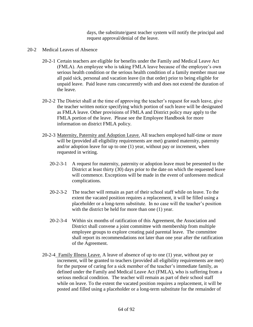days, the substitute/guest teacher system will notify the principal and request approval/denial of the leave.

- 20-2 Medical Leaves of Absence
	- 20-2-1 Certain teachers are eligible for benefits under the Family and Medical Leave Act (FMLA). An employee who is taking FMLA leave because of the employee's own serious health condition or the serious health condition of a family member must use all paid sick, personal and vacation leave (in that order) prior to being eligible for unpaid leave. Paid leave runs concurrently with and does not extend the duration of the leave.
	- 20-2-2 The District shall at the time of approving the teacher's request for such leave, give the teacher written notice specifying which portion of such leave will be designated as FMLA leave. Other provisions of FMLA and District policy may apply to the FMLA portion of the leave. Please see the Employee Handbook for more information on district FMLA policy.
	- 20-2-3 Maternity, Paternity and Adoption Leave. All teachers employed half-time or more will be (provided all eligibility requirements are met) granted maternity, paternity and/or adoption leave for up to one (1) year, without pay or increment, when requested in writing.
		- 20-2-3-1 A request for maternity, paternity or adoption leave must be presented to the District at least thirty (30) days prior to the date on which the requested leave will commence. Exceptions will be made in the event of unforeseen medical complications.
		- 20-2-3-2 The teacher will remain as part of their school staff while on leave. To the extent the vacated position requires a replacement, it will be filled using a placeholder or a long-term substitute. In no case will the teacher's position with the district be held for more than one  $(1)$  year.
		- 20-2-3-4 Within six months of ratification of this Agreement, the Association and District shall convene a joint committee with membership from multiple employee groups to explore creating paid parental leave. The committee shall report its recommendations not later than one year after the ratification of the Agreement.
	- 20-2-4 Family Illness Leave. A leave of absence of up to one (1) year, without pay or increment, will be granted to teachers (provided all eligibility requirements are met) for the purpose of caring for a sick member of the teacher's immediate family, as defined under the Family and Medical Leave Act (FMLA), who is suffering from a serious medical condition. The teacher will remain as part of their school staff while on leave. To the extent the vacated position requires a replacement, it will be posted and filled using a placeholder or a long-term substitute for the remainder of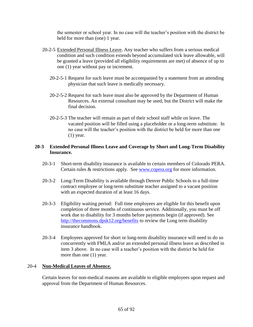the semester or school year. In no case will the teacher's position with the district be held for more than (one) 1 year.

- 20-2-5 Extended Personal Illness Leave. Any teacher who suffers from a serious medical condition and such condition extends beyond accumulated sick leave allowable, will be granted a leave (provided all eligibility requirements are met) of absence of up to one (1) year without pay or increment.
	- 20-2-5-1 Request for such leave must be accompanied by a statement from an attending physician that such leave is medically necessary.
	- 20-2-5-2 Request for such leave must also be approved by the Department of Human Resources. An external consultant may be used, but the District will make the final decision.
	- 20-2-5-3 The teacher will remain as part of their school staff while on leave. The vacated position will be filled using a placeholder or a long-term substitute. In no case will the teacher's position with the district be held for more than one (1) year.

## **20-3 Extended Personal Illness Leave and Coverage by Short and Long-Term Disability Insurance.**

- 20-3-1 Short-term disability insurance is available to certain members of Colorado PERA. Certain rules & restrictions apply. See [www.copera.org](http://www.copera.org/) for more information.
- 20-3-2 Long-Term Disability is available through Denver Public Schools to a full-time contract employee or long-term substitute teacher assigned to a vacant position with an expected duration of at least 16 days.
- 20-3-3 Eligibility waiting period: Full time employees are eligible for this benefit upon completion of three months of continuous service. Additionally, you must be off work due to disability for 3 months before payments begin (if approved). See <http://thecommons.dpsk12.org/benefits> to review the Long term disability insurance handbook.
- 20-3-4 Employees approved for short or long-term disability insurance will need to do so concurrently with FMLA and/or an extended personal illness leave as described in item 3 above. In no case will a teacher's position with the district be held for more than one (1) year.

#### 20-4 **Non-Medical Leaves of Absence.**

Certain leaves for non-medical reasons are available to eligible employees upon request and approval from the Department of Human Resources.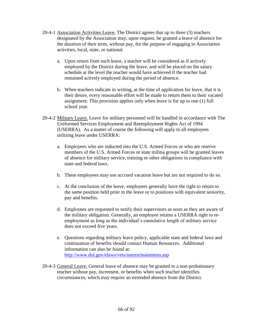- 20-4-1 Association Activities Leave. The District agrees that up to three (3) teachers designated by the Association may, upon request, be granted a leave of absence for the duration of their term, without pay, for the purpose of engaging in Association activities, local, state, or national.
	- a. Upon return from such leave, a teacher will be considered as if actively employed by the District during the leave, and will be placed on the salary schedule at the level the teacher would have achieved if the teacher had remained actively employed during the period of absence.
	- b. When teachers indicate in writing, at the time of application for leave, that it is their desire, every reasonable effort will be made to return them to their vacated assignment. This provision applies only when leave is for up to one (1) full school year.
- 20-4-2 Military Leave. Leave for military personnel will be handled in accordance with The Uniformed Services Employment and Reemployment Rights Act of 1994 (USERRA). As a matter of course the following will apply to all employees utilizing leave under USERRA:
	- a. Employees who are inducted into the U.S. Armed Forces or who are reserve members of the U.S. Armed Forces or state militia groups will be granted leaves of absence for military service, training or other obligations in compliance with state and federal laws.
	- b. These employees may use accrued vacation leave but are not required to do so.
	- c. At the conclusion of the leave, employees generally have the right to return to the same position held prior to the leave or to positions with equivalent seniority, pay and benefits.
	- d. Employees are requested to notify their supervisors as soon as they are aware of the military obligation. Generally, an employee retains a USERRA right to reemployment as long as the individual's cumulative length of military service does not exceed five years.
	- e. Questions regarding military leave policy, applicable state and federal laws and continuation of benefits should contact Human Resources. Additional information can also be found at: <http://www.dol.gov/elaws/vets/userra/mainmenu.asp>
- 20-4-3 General Leave. General leave of absence may be granted to a non-probationary teacher without pay, increment, or benefits when such teacher identifies circumstances, which may require an extended absence from the District.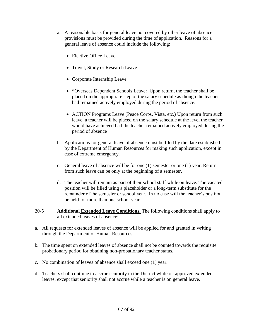- a. A reasonable basis for general leave not covered by other leave of absence provisions must be provided during the time of application. Reasons for a general leave of absence could include the following:
	- Elective Office Leave
	- Travel, Study or Research Leave
	- Corporate Internship Leave
	- \*Overseas Dependent Schools Leave: Upon return, the teacher shall be placed on the appropriate step of the salary schedule as though the teacher had remained actively employed during the period of absence.
	- ACTION Programs Leave (Peace Corps, Vista, etc.) Upon return from such leave, a teacher will be placed on the salary schedule at the level the teacher would have achieved had the teacher remained actively employed during the period of absence
- b. Applications for general leave of absence must be filed by the date established by the Department of Human Resources for making such application, except in case of extreme emergency.
- c. General leave of absence will be for one (1) semester or one (1) year. Return from such leave can be only at the beginning of a semester.
- d. The teacher will remain as part of their school staff while on leave. The vacated position will be filled using a placeholder or a long-term substitute for the remainder of the semester or school year. In no case will the teacher's position be held for more than one school year.
- 20-5 **Additional Extended Leave Conditions.** The following conditions shall apply to all extended leaves of absence:
- a. All requests for extended leaves of absence will be applied for and granted in writing through the Department of Human Resources.
- b. The time spent on extended leaves of absence shall not be counted towards the requisite probationary period for obtaining non-probationary teacher status.
- c. No combination of leaves of absence shall exceed one (1) year.
- d. Teachers shall continue to accrue seniority in the District while on approved extended leaves, except that seniority shall not accrue while a teacher is on general leave.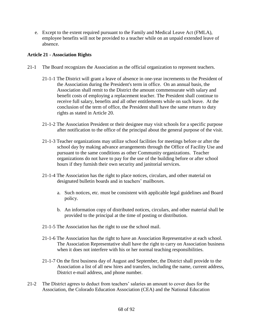e. Except to the extent required pursuant to the Family and Medical Leave Act (FMLA), employee benefits will not be provided to a teacher while on an unpaid extended leave of absence.

# **Article 21 - Association Rights**

- 21-1 The Board recognizes the Association as the official organization to represent teachers.
	- 21-1-1 The District will grant a leave of absence in one-year increments to the President of the Association during the President's term in office. On an annual basis, the Association shall remit to the District the amount commensurate with salary and benefit costs of employing a replacement teacher. The President shall continue to receive full salary, benefits and all other entitlements while on such leave. At the conclusion of the term of office, the President shall have the same return to duty rights as stated in Article 20.
	- 21-1-2 The Association President or their designee may visit schools for a specific purpose after notification to the office of the principal about the general purpose of the visit.
	- 21-1-3 Teacher organizations may utilize school facilities for meetings before or after the school day by making advance arrangements through the Office of Facility Use and pursuant to the same conditions as other Community organizations. Teacher organizations do not have to pay for the use of the building before or after school hours if they furnish their own security and janitorial services.
	- 21-1-4 The Association has the right to place notices, circulars, and other material on designated bulletin boards and in teachers' mailboxes.
		- a. Such notices, etc. must be consistent with applicable legal guidelines and Board policy.
		- b. An information copy of distributed notices, circulars, and other material shall be provided to the principal at the time of posting or distribution.
	- 21-1-5 The Association has the right to use the school mail.
	- 21-1-6 The Association has the right to have an Association Representative at each school. The Association Representative shall have the right to carry on Association business when it does not interfere with his or her normal teaching responsibilities.
	- 21-1-7 On the first business day of August and September, the District shall provide to the Association a list of all new hires and transfers, including the name, current address, District e-mail address, and phone number.
- 21-2 The District agrees to deduct from teachers' salaries an amount to cover dues for the Association, the Colorado Education Association (CEA) and the National Education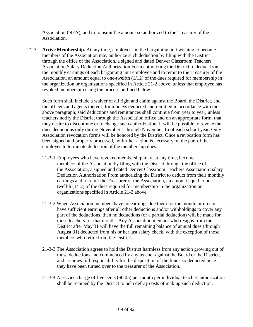Association (NEA), and to transmit the amount so authorized to the Treasurer of the Association.

21-3 **Active Membership.** At any time, employees in the bargaining unit wishing to become members of the Association may authorize such deduction by filing with the District through the office of the Association, a signed and dated Denver Classroom Teachers Association Salary Deduction Authorization Form authorizing the District to deduct from the monthly earnings of each bargaining unit employee and to remit to the Treasurer of the Association, an amount equal to one-twelfth (1/12) of the dues required for membership in the organization or organizations specified in Article 21-2 above, unless that employee has revoked membership using the process outlined below.

Such form shall include a waiver of all right and claim against the Board, the District, and the officers and agents thereof, for moneys deducted and remitted in accordance with the above paragraph; said deductions and remittances shall continue from year to year, unless teachers notify the District through the Association office and on an appropriate form, that they desire to discontinue or to change such authorization. It will be possible to revoke the dues deductions only during November 1 through November 15 of each school year. Only Association revocation forms will be honored by the District. Once a revocation form has been signed and properly processed, no further action is necessary on the part of the employee to terminate deduction of the membership dues.

- 21-3-1 Employees who have revoked membership may, at any time, become members of the Association by filing with the District through the office of the Association, a signed and dated Denver Classroom Teachers Association Salary Deduction Authorization From authorizing the District to deduct from their monthly earnings and to remit the Treasurer of the Association, an amount equal to onetwelfth (1/12) of the dues required for membership in the organization or organizations specified in Article 21-2 above.
- 21-3-2 When Association members have no earnings due them for the month, or do not have sufficient earnings after all other deductions and/or withholdings to cover any part of the deductions, then no deductions (or a partial deduction) will be made for those teachers for that month. Any Association member who resigns from the District after May 31 will have the full remaining balance of annual dues (through August 31) deducted from his or her last salary check, with the exception of those members who retire from the District.
- 21-3-3 The Association agrees to hold the District harmless from any action growing out of those deductions and commenced by any teacher against the Board or the District, and assumes full responsibility for the disposition of the funds so deducted once they have been turned over to the treasurer of the Association.
- 21-3-4 A service charge of five cents (\$0.05) per month per individual teacher authorization shall be retained by the District to help defray costs of making such deduction.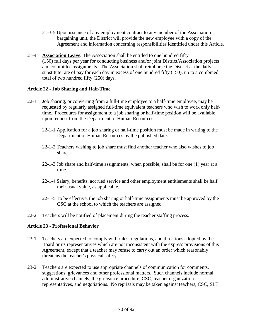- 21-3-5 Upon issuance of any employment contract to any member of the Association bargaining unit, the District will provide the new employee with a copy of the Agreement and information concerning responsibilities identified under this Article.
- 21-4 **Association Leave.** The Association shall be entitled to one hundred fifty (150) full days per year for conducting business and/or joint District/Association projects and committee assignments. The Association shall reimburse the District at the daily substitute rate of pay for each day in excess of one hundred fifty (150), up to a combined total of two hundred fifty (250) days.

# **Article 22 - Job Sharing and Half-Time**

- 22-1 Job sharing, or converting from a full-time employee to a half-time employee, may be requested by regularly assigned full-time equivalent teachers who wish to work only halftime. Procedures for assignment to a job sharing or half-time position will be available upon request from the Department of Human Resources.
	- 22-1-1 Application for a job sharing or half-time position must be made in writing to the Department of Human Resources by the published date.
	- 22-1-2 Teachers wishing to job share must find another teacher who also wishes to job share.
	- 22-1-3 Job share and half-time assignments, when possible, shall be for one (1) year at a time.
	- 22-1-4 Salary, benefits, accrued service and other employment entitlements shall be half their usual value, as applicable.
	- 22-1-5 To be effective, the job sharing or half-time assignments must be approved by the CSC at the school to which the teachers are assigned.
- 22-2 Teachers will be notified of placement during the teacher staffing process.

# **Article 23 - Professional Behavior**

- 23-1 Teachers are expected to comply with rules, regulations, and directions adopted by the Board or its representatives which are not inconsistent with the express provisions of this Agreement, except that a teacher may refuse to carry out an order which reasonably threatens the teacher's physical safety.
- 23-2 Teachers are expected to use appropriate channels of communication for comments, suggestions, grievances and other professional matters. Such channels include normal administrative channels, the grievance procedure, CSC, teacher organization representatives, and negotiations. No reprisals may be taken against teachers, CSC, SLT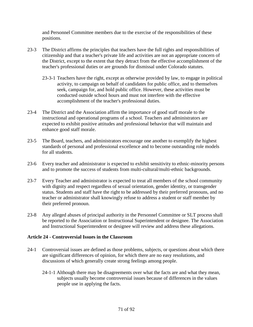and Personnel Committee members due to the exercise of the responsibilities of these positions.

- 23-3 The District affirms the principles that teachers have the full rights and responsibilities of citizenship and that a teacher's private life and activities are not an appropriate concern of the District, except to the extent that they detract from the effective accomplishment of the teacher's professional duties or are grounds for dismissal under Colorado statutes.
	- 23-3-1 Teachers have the right, except as otherwise provided by law, to engage in political activity, to campaign on behalf of candidates for public office, and to themselves seek, campaign for, and hold public office. However, these activities must be conducted outside school hours and must not interfere with the effective accomplishment of the teacher's professional duties.
- 23-4 The District and the Association affirm the importance of good staff morale to the instructional and operational programs of a school. Teachers and administrators are expected to exhibit positive attitudes and professional behavior that will maintain and enhance good staff morale.
- 23-5 The Board, teachers, and administrators encourage one another to exemplify the highest standards of personal and professional excellence and to become outstanding role models for all students.
- 23-6 Every teacher and administrator is expected to exhibit sensitivity to ethnic-minority persons and to promote the success of students from multi-cultural/multi-ethnic backgrounds.
- 23-7 Every Teacher and administrator is expected to treat all members of the school community with dignity and respect regardless of sexual orientation, gender identity, or transgender status. Students and staff have the right to be addressed by their preferred pronouns, and no teacher or administrator shall knowingly refuse to address a student or staff member by their preferred pronoun.
- 23-8 Any alleged abuses of principal authority in the Personnel Committee or SLT process shall be reported to the Association or Instructional Superintendent or designee. The Association and Instructional Superintendent or designee will review and address these allegations.

# **Article 24 - Controversial Issues in the Classroom**

- 24-1 Controversial issues are defined as those problems, subjects, or questions about which there are significant differences of opinion, for which there are no easy resolutions, and discussions of which generally create strong feelings among people.
	- 24-1-1 Although there may be disagreements over what the facts are and what they mean, subjects usually become controversial issues because of differences in the values people use in applying the facts.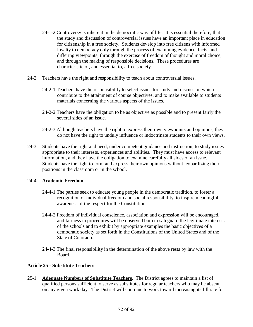- 24-1-2 Controversy is inherent in the democratic way of life. It is essential therefore, that the study and discussion of controversial issues have an important place in education for citizenship in a free society. Students develop into free citizens with informed loyalty to democracy only through the process of examining evidence, facts, and differing viewpoints; through the exercise of freedom of thought and moral choice; and through the making of responsible decisions. These procedures are characteristic of, and essential to, a free society.
- 24-2 Teachers have the right and responsibility to teach about controversial issues.
	- 24-2-1 Teachers have the responsibility to select issues for study and discussion which contribute to the attainment of course objectives, and to make available to students materials concerning the various aspects of the issues.
	- 24-2-2 Teachers have the obligation to be as objective as possible and to present fairly the several sides of an issue.
	- 24-2-3 Although teachers have the right to express their own viewpoints and opinions, they do not have the right to unduly influence or indoctrinate students to their own views.
- 24-3 Students have the right and need, under competent guidance and instruction, to study issues appropriate to their interests, experiences and abilities. They must have access to relevant information, and they have the obligation to examine carefully all sides of an issue. Students have the right to form and express their own opinions without jeopardizing their positions in the classroom or in the school.

# 24-4 **Academic Freedom.**

- 24-4-1 The parties seek to educate young people in the democratic tradition, to foster a recognition of individual freedom and social responsibility, to inspire meaningful awareness of the respect for the Constitution.
- 24-4-2 Freedom of individual conscience, association and expression will be encouraged, and fairness in procedures will be observed both to safeguard the legitimate interests of the schools and to exhibit by appropriate examples the basic objectives of a democratic society as set forth in the Constitutions of the United States and of the State of Colorado.
- 24-4-3 The final responsibility in the determination of the above rests by law with the Board.

# **Article 25 - Substitute Teachers**

25-1 **Adequate Numbers of Substitute Teachers.** The District agrees to maintain a list of qualified persons sufficient to serve as substitutes for regular teachers who may be absent on any given work day. The District will continue to work toward increasing its fill rate for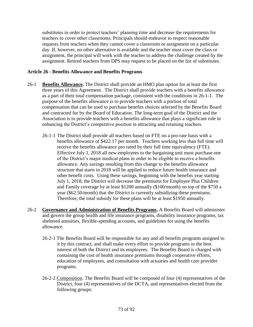substitutes in order to protect teachers' planning time and decrease the requirements for teachers to cover other classrooms. Principals should endeavor to respect reasonable requests from teachers when they cannot cover a classroom or assignment on a particular day. If, however, no other alternative is available and the teacher must cover the class or assignment, the principal will work with the teacher to address the challenge created by the assignment. Retired teachers from DPS may request to be placed on the list of substitutes.

# **Article 26 - Benefits Allowance and Benefits Programs**

- 26-1 **Benefits Allowance.** The District shall provide an HMO plan option for at least the first three years of this Agreement. The District shall provide teachers with a benefits allowance as a part of their total compensation package, consistent with the conditions in 26-1-1. The purpose of the benefits allowance is to provide teachers with a portion of total compensation that can be used to purchase benefits choices selected by the Benefits Board and contracted for by the Board of Education. The long-term goal of the District and the Association is to provide teachers with a benefits allowance that plays a significant role in enhancing the District's competitive position in attracting and retaining teachers.
	- 26-1-1 The District shall provide all teachers based on FTE on a pro-rate basis with a benefits allowance of \$422.17 per month. Teachers working less than full time will receive the benefits allowance pro rated by their full time equivalency (FTE). Effective July 1, 2018 all new employees to the bargaining unit must purchase one of the District's major medical plans in order to be eligible to receive a benefits allowance. Any savings resulting from this change to the benefits allowance structure that starts in 2018 will be applied to reduce future health insurance and other benefit costs. Using these savings, beginning with the benefits year starting July 1, 2018, the District will decrease the premiums for Employee Plus Children and Family coverage by at least \$1200 annually (\$100/month) on top of the \$750 a year (\$62.50/month) that the District is currently subsidizing these premiums. Therefore, the total subsidy for these plans will be at least \$1950 annually.
- 26-2 **Governance and Administration of Benefits Programs.** A Benefits Board will administer and govern the group health and life insurance programs, disability insurance programs, tax sheltered annuities, flexible-spending accounts, and guidelines for using the benefits allowance.
	- 26-2-1 The Benefits Board will be responsible for any and all benefits programs assigned to it by this contract, and shall make every effort to provide programs in the best interest of both the District and its employees. The Benefits Board is charged with containing the cost of health insurance premiums through cooperative efforts, education of employees, and consultation with actuaries and health care provider programs.
	- 26-2-2 Composition. The Benefits Board will be composed of four (4) representatives of the District, four (4) representatives of the DCTA, and representatives elected from the following groups: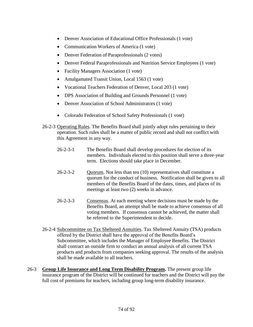- Denver Association of Educational Office Professionals (1 vote)
- Communication Workers of America (1 vote)
- Denver Federation of Paraprofessionals (2 votes)
- Denver Federal Paraprofessionals and Nutrition Service Employees (1 vote)
- Facility Managers Association (1 vote)
- Amalgamated Transit Union, Local 1563 (1 vote)
- Vocational Teachers Federation of Denver, Local 203 (1 vote)
- DPS Association of Building and Grounds Personnel (1 vote)
- Denver Association of School Administrators (1 vote)
- Colorado Federation of School Safety Professionals (1 vote)
- 26-2-3 Operating Rules. The Benefits Board shall jointly adopt rules pertaining to their operation. Such rules shall be a matter of public record and shall not conflict with this Agreement in any way.
	- 26-2-3-1 The Benefits Board shall develop procedures for election of its members. Individuals elected to this position shall serve a three-year term. Elections should take place in December.
	- 26-2-3-2 Quorum. Not less than ten (10) representatives shall constitute a quorum for the conduct of business. Notification shall be given to all members of the Benefits Board of the dates, times, and places of its meetings at least two (2) weeks in advance.
	- 26-2-3-3 Consensus. At each meeting where decisions must be made by the Benefits Board, an attempt shall be made to achieve consensus of all voting members. If consensus cannot be achieved, the matter shall be referred to the Superintendent to decide.
- 26-2-4 Subcommittee on Tax Sheltered Annuities. Tax Sheltered Annuity (TSA) products offered by the District shall have the approval of the Benefits Board's Subcommittee, which includes the Manager of Employee Benefits. The District shall contract an outside firm to conduct an annual analysis of all current TSA products and products from companies seeking approval. The results of the analysis shall be made available to all teachers.
- 26-3 **Group Life Insurance and Long Term Disability Program.** The present group life insurance program of the District will be continued for teachers and the District will pay the full cost of premiums for teachers, including group long-term disability insurance.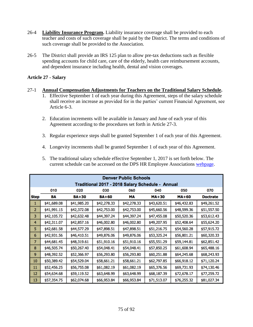- 26-4 **Liability Insurance Program.** Liability insurance coverage shall be provided to each teacher and costs of such coverage shall be paid by the District. The terms and conditions of such coverage shall be provided to the Association.
- 26-5 The District shall provide an IRS 125 plan to allow pre-tax deductions such as flexible spending accounts for child care, care of the elderly, health care reimbursement accounts, and dependent insurance including health, dental and vision coverages.

# **Article 27 - Salary**

# 27-1 **Annual Compensation Adjustments for Teachers on the Traditional Salary Schedule.**

- 1. Effective September 1 of each year during this Agreement, steps of the salary schedule shall receive an increase as provided for in the parties' current Financial Agreement, see Article 6-3.
- 2. Education increments will be available in January and June of each year of this Agreement according to the procedures set forth in Article 27-3.
- 3. Regular experience steps shall be granted September 1 of each year of this Agreement.
- 4. Longevity increments shall be granted September 1 of each year of this Agreement.

| 5. The traditional salary schedule effective September 1, 2017 is set forth below. The |
|----------------------------------------------------------------------------------------|
| current schedule can be accessed on the DPS HR Employee Associations webpage.          |

| <b>Denver Public Schools</b>                     |             |              |              |             |              |              |                 |  |  |
|--------------------------------------------------|-------------|--------------|--------------|-------------|--------------|--------------|-----------------|--|--|
| Traditional 2017 - 2018 Salary Schedule - Annual |             |              |              |             |              |              |                 |  |  |
|                                                  | 010         | 020          | 030          | 060         | 040          | 050          | 070             |  |  |
| <b>Step</b>                                      | BA          | <b>BA+30</b> | <b>BA+60</b> | МA          | <b>MA+30</b> | <b>MA+60</b> | <b>Doctrate</b> |  |  |
|                                                  | \$41,689.08 | \$41,985.20  | \$42,278.33  | \$42,278.33 | \$43,620.51  | \$46,432.83  | \$49,261.52     |  |  |
| 2                                                | \$41,991.15 | \$42,372.08  | \$42,753.00  | \$42,753.00 | \$45,660.56  | \$48,599.36  | \$51,557.50     |  |  |
| 3                                                | \$42,105.72 | \$42,632.48  | \$44,397.24  | \$44,397.24 | \$47,455.08  | \$50,520.36  | \$53,612.43     |  |  |
| 4                                                | \$42,311.07 | \$42,857.16  | \$46,002.80  | \$46,002.80 | \$49,207.95  | \$52,408.64  | \$55,624.20     |  |  |
| 5                                                | \$42,681.58 | \$44,577.29  | \$47,898.51  | \$47,898.51 | \$51,216.75  | \$54,560.28  | \$57,915.72     |  |  |
| 6                                                | \$42,931.56 | \$46,410.51  | \$49,876.06  | \$49,876.06 | \$53,325.24  | \$56,801.21  | \$60,320.33     |  |  |
| $\overline{7}$                                   | \$44,681.45 | \$48,319.61  | \$51,910.16  | \$51,910.16 | \$55,551.29  | \$59,144.81  | \$62,851.42     |  |  |
| 8                                                | \$46,505.74 | \$50,267.40  | \$54,048.41  | \$54,048.41 | \$57,850.25  | \$61,608.94  | \$65,488.16     |  |  |
| 9                                                | \$48,392.52 | \$52,366.97  | \$56,293.80  | \$56,293.80 | \$60,251.88  | \$64,245.68  | \$68,243.93     |  |  |
| 10                                               | \$50,389.42 | \$54,529.04  | \$58,661.21  | \$58,661.21 | \$62,797.85  | \$66,918.12  | \$71,120.24     |  |  |
| 11                                               | \$52,456.25 | \$56,755.08  | \$61,082.19  | \$61,082.19 | \$65,376.56  | \$69,731.93  | \$74,130.46     |  |  |
| 12                                               | \$54,634.68 | \$59,119.52  | \$63,648.99  | \$63,648.99 | \$68,187.39  | \$72,678.17  | \$77,259.72     |  |  |
| 13                                               | \$57,354.75 | \$62,074.68  | \$66,953.84  | \$66,953.84 | \$71,513.07  | \$76,255.32  | \$81,027.34     |  |  |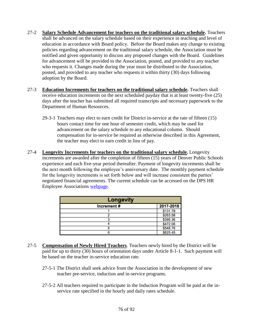- 27-2 **Salary Schedule Advancement for teachers on the traditional salary schedule.** Teachers shall be advanced on the salary schedule based on their experience in teaching and level of education in accordance with Board policy. Before the Board makes any change to existing policies regarding advancement on the traditional salary schedule, the Association must be notified and given opportunity to discuss any proposed changes with the Board. Guidelines for advancement will be provided to the Association, posted, and provided to any teacher who requests it. Changes made during the year must be distributed to the Association, posted, and provided to any teacher who requests it within thirty (30) days following adoption by the Board.
- 27-3 **Education Increments for teachers on the traditional salary schedule.** Teachers shall receive education increments on the next scheduled payday that is at least twenty-five (25) days after the teacher has submitted all required transcripts and necessary paperwork to the Department of Human Resources.
	- 29-3-1 Teachers may elect to earn credit for District in-service at the rate of fifteen (15) hours contact time for one hour of semester credit, which may be used for advancement on the salary schedule to any educational column. Should compensation for in-service be required as otherwise described in this Agreement, the teacher may elect to earn credit in lieu of pay.
- 27-4 **Longevity Increments for teachers on the traditional salary schedule.** Longevity increments are awarded after the completion of fifteen (15) years of Denver Public Schools experience and each five-year period thereafter. Payment of longevity increments shall be the next month following the employee's anniversary date. The monthly payment schedule for the longevity increments is set forth below and will increase consistent the parties' negotiated financial agreements. The current schedule can be accessed on the DPS HR Employee Associations [webpage.](https://hr.dpsk12.org/employee-associations/#1486430936128-069895eb-7daf)

| <b>Longevity</b> |           |  |  |  |  |
|------------------|-----------|--|--|--|--|
| Increment#       | 2017-2018 |  |  |  |  |
|                  | \$131.79  |  |  |  |  |
|                  | \$263.58  |  |  |  |  |
|                  | \$395.36  |  |  |  |  |
|                  | \$472.06  |  |  |  |  |
|                  | \$548.76  |  |  |  |  |
|                  | \$625.45  |  |  |  |  |

- 27-5 **Compensation of Newly Hired Teachers**. Teachers newly hired by the District will be paid for up to thirty (30) hours of orientation days under Article 8-1-1. Such payment will be based on the teacher in-service education rate.
	- 27-5-1 The District shall seek advice from the Association in the development of new teacher pre-service, induction and in-service programs.
	- 27-5-2 All teachers required to participate in the Induction Program will be paid at the inservice rate specified in the hourly and daily rates schedule.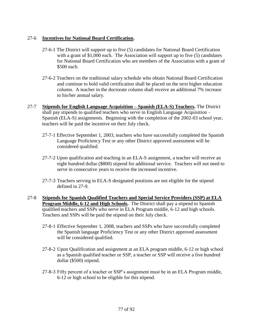# 27-6 **Incentives for National Board Certification.**

- 27-6-1 The District will support up to five (5) candidates for National Board Certification with a grant of \$1,000 each. The Association will support up to five (5) candidates for National Board Certification who are members of the Association with a grant of \$500 each.
- 27-6-2 Teachers on the traditional salary schedule who obtain National Board Certification and continue to hold valid certification shall be placed on the next higher education column. A teacher in the doctorate column shall receive an additional 7% increase to his/her annual salary.
- 27-7 **Stipends for English Language Acquisition – Spanish (ELA-S) Teachers.** The District shall pay stipends to qualified teachers who serve in English Language Acquisition – Spanish (ELA-S) assignments. Beginning with the completion of the 2002-03 school year, teachers will be paid the incentive on their July check.
	- 27-7-1 Effective September 1, 2003, teachers who have successfully completed the Spanish Language Proficiency Test or any other District approved assessment will be considered qualified.
	- 27-7-2 Upon qualification and teaching in an ELA-S assignment, a teacher will receive an eight hundred dollar (\$800) stipend for additional service. Teachers will not need to serve in consecutive years to receive the increased incentive.
	- 27-7-3 Teachers serving in ELA-S designated positions are not eligible for the stipend defined in 27-9.
- 27-8 **Stipends for Spanish Qualified Teachers and Special Service Providers (SSP) at ELA Program Middle, 6-12 and High Schools.** The District shall pay a stipend to Spanish qualified teachers and SSPs who serve in ELA Program middle, 6-12 and high schools. Teachers and SSPs will be paid the stipend on their July check.
	- 27-8-1 Effective September 1, 2008, teachers and SSPs who have successfully completed the Spanish language Proficiency Test or any other District approved assessment will be considered qualified.
	- 27-8-2 Upon Qualification and assignment at an ELA program middle, 6-12 or high school as a Spanish qualified teacher or SSP, a teacher or SSP will receive a five hundred dollar (\$500) stipend.
	- 27-8-3 Fifty percent of a teacher or SSP's assignment must be in an ELA Program middle, 6-12 or high school to be eligible for this stipend.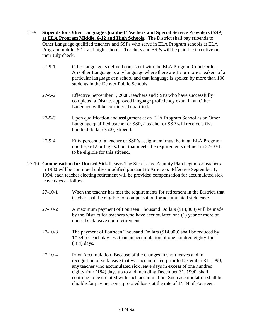- 27-9 **Stipends for Other Language Qualified Teachers and Special Service Providers (SSP) at ELA Program Middle, 6-12 and High Schools.** The District shall pay stipends to Other Language qualified teachers and SSPs who serve in ELA Program schools at ELA Program middle, 6-12 and high schools. Teachers and SSPs will be paid the incentive on their July check.
	- 27-9-1 Other language is defined consistent with the ELA Program Court Order. An Other Language is any language where there are 15 or more speakers of a particular language at a school and that language is spoken by more than 100 students in the Denver Public Schools.
	- 27-9-2 Effective September 1, 2008, teachers and SSPs who have successfully completed a District approved language proficiency exam in an Other Language will be considered qualified.
	- 27-9-3 Upon qualification and assignment at an ELA Program School as an Other Language qualified teacher or SSP, a teacher or SSP will receive a five hundred dollar (\$500) stipend.
	- 27-9-4 Fifty percent of a teacher or SSP's assignment must be in an ELA Program middle, 6-12 or high school that meets the requirements defined in 27-10-1 to be eligible for this stipend.
- 27-10 **Compensation for Unused Sick Leave.** The Sick Leave Annuity Plan begun for teachers in 1980 will be continued unless modified pursuant to Article 6. Effective September 1, 1994, each teacher electing retirement will be provided compensation for accumulated sick leave days as follows:
	- 27-10-1 When the teacher has met the requirements for retirement in the District, that teacher shall be eligible for compensation for accumulated sick leave.
	- 27-10-2 A maximum payment of Fourteen Thousand Dollars (\$14,000) will be made by the District for teachers who have accumulated one (1) year or more of unused sick leave upon retirement.
	- 27-10-3 The payment of Fourteen Thousand Dollars (\$14,000) shall be reduced by 1/184 for each day less than an accumulation of one hundred eighty-four (184) days.
	- 27-10-4 Prior Accumulation. Because of the changes in short leaves and in recognition of sick leave that was accumulated prior to December 31, 1990, any teacher who accumulated sick leave days in excess of one hundred eighty-four (184) days up to and including December 31, 1990, shall continue to be credited with such accumulation. Such accumulation shall be eligible for payment on a prorated basis at the rate of 1/184 of Fourteen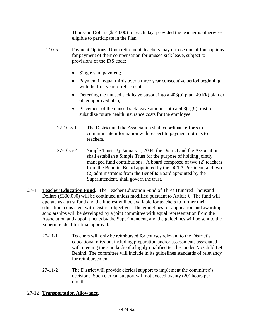Thousand Dollars (\$14,000) for each day, provided the teacher is otherwise eligible to participate in the Plan.

- 27-10-5 Payment Options. Upon retirement, teachers may choose one of four options for payment of their compensation for unused sick leave, subject to provisions of the IRS code:
	- Single sum payment;
	- Payment in equal thirds over a three year consecutive period beginning with the first year of retirement;
	- Deferring the unused sick leave payout into a  $403(b)$  plan,  $401(k)$  plan or other approved plan;
	- Placement of the unused sick leave amount into a  $503(c)(9)$  trust to subsidize future health insurance costs for the employee.
	- 27-10-5-1 The District and the Association shall coordinate efforts to communicate information with respect to payment options to teachers.
	- 27-10-5-2 Simple Trust. By January 1, 2004, the District and the Association shall establish a Simple Trust for the purpose of holding jointly managed fund contributions. A board composed of two (2) teachers from the Benefits Board appointed by the DCTA President, and two (2) administrators from the Benefits Board appointed by the Superintendent, shall govern the trust.
- 27-11 **Teacher Education Fund.** The Teacher Education Fund of Three Hundred Thousand Dollars (\$300,000) will be continued unless modified pursuant to Article 6. The fund will operate as a trust fund and the interest will be available for teachers to further their education, consistent with District objectives. The guidelines for application and awarding scholarships will be developed by a joint committee with equal representation from the Association and appointments by the Superintendent, and the guidelines will be sent to the Superintendent for final approval.
	- 27-11-1 Teachers will only be reimbursed for courses relevant to the District's educational mission, including preparation and/or assessments associated with meeting the standards of a highly qualified teacher under No Child Left Behind. The committee will include in its guidelines standards of relevancy for reimbursement.
	- 27-11-2 The District will provide clerical support to implement the committee's decisions. Such clerical support will not exceed twenty (20) hours per month.

# 27-12 **Transportation Allowance.**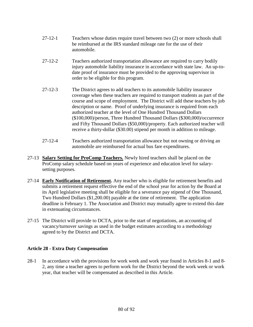- 27-12-1 Teachers whose duties require travel between two (2) or more schools shall be reimbursed at the IRS standard mileage rate for the use of their automobile.
- 27-12-2 Teachers authorized transportation allowance are required to carry bodily injury automobile liability insurance in accordance with state law. An up-todate proof of insurance must be provided to the approving supervisor in order to be eligible for this program.
- 27-12-3 The District agrees to add teachers to its automobile liability insurance coverage when these teachers are required to transport students as part of the course and scope of employment. The District will add these teachers by job description or name. Proof of underlying insurance is required from each authorized teacher at the level of One Hundred Thousand Dollars (\$100,000)/person, Three Hundred Thousand Dollars (\$300,000)/occurrence and Fifty Thousand Dollars (\$50,000)/property. Each authorized teacher will receive a thirty-dollar (\$30.00) stipend per month in addition to mileage.
- 27-12-4 Teachers authorized transportation allowance but not owning or driving an automobile are reimbursed for actual bus fare expenditures.
- 27-13 **Salary Setting for ProComp Teachers.** Newly hired teachers shall be placed on the ProComp salary schedule based on years of experience and education level for salarysetting purposes.
- 27-14 **Early Notification of Retirement.** Any teacher who is eligible for retirement benefits and submits a retirement request effective the end of the school year for action by the Board at its April legislative meeting shall be eligible for a severance pay stipend of One Thousand, Two Hundred Dollars (\$1,200.00) payable at the time of retirement. The application deadline is February 1. The Association and District may mutually agree to extend this date in extenuating circumstances.
- 27-15 The District will provide to DCTA, prior to the start of negotiations, an accounting of vacancy/turnover savings as used in the budget estimates according to a methodology agreed to by the District and DCTA.

# **Article 28 - Extra Duty Compensation**

28-1 In accordance with the provisions for work week and work year found in Articles 8-1 and 8- 2, any time a teacher agrees to perform work for the District beyond the work week or work year, that teacher will be compensated as described in this Article.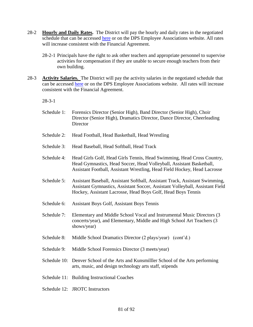- 28-2 **Hourly and Daily Rates.** The District will pay the hourly and daily rates in the negotiated schedule that can be accessed [here](https://hr.dpsk12.org/wp-content/uploads/sites/37/Hourly-Teacher-Substitutes-Activity-and-Longevity-Rates-2017-18.pdf) or on the DPS Employee Associations website. All rates will increase consistent with the Financial Agreement.
	- 28-2-1 Principals have the right to ask other teachers and appropriate personnel to supervise activities for compensation if they are unable to secure enough teachers from their own building.
- 28-3 **Activity Salaries.** The District will pay the activity salaries in the negotiated schedule that can be accessed [here](https://hr.dpsk12.org/wp-content/uploads/sites/37/Hourly-Teacher-Substitutes-Activity-and-Longevity-Rates-2017-18.pdf) or on the DPS Employee Associations website. All rates will increase consistent with the Financial Agreement.

28-3-1

- Schedule 1: Forensics Director (Senior High), Band Director (Senior High), Choir Director (Senior High), Dramatics Director, Dance Director, Cheerleading **Director**
- Schedule 2: Head Football, Head Basketball, Head Wrestling
- Schedule 3: Head Baseball, Head Softball, Head Track
- Schedule 4: Head Girls Golf, Head Girls Tennis, Head Swimming, Head Cross Country, Head Gymnastics, Head Soccer, Head Volleyball, Assistant Basketball, Assistant Football, Assistant Wrestling, Head Field Hockey, Head Lacrosse
- Schedule 5: Assistant Baseball, Assistant Softball, Assistant Track, Assistant Swimming, Assistant Gymnastics, Assistant Soccer, Assistant Volleyball, Assistant Field Hockey, Assistant Lacrosse, Head Boys Golf, Head Boys Tennis
- Schedule 6: Assistant Boys Golf, Assistant Boys Tennis
- Schedule 7: Elementary and Middle School Vocal and Instrumental Music Directors (3 concerts/year), and Elementary, Middle and High School Art Teachers (3 shows/year)
- Schedule 8: Middle School Dramatics Director (2 plays/year) (cont'd.)
- Schedule 9: Middle School Forensics Director (3 meets/year)
- Schedule 10: Denver School of the Arts and Kunsmilller School of the Arts performing arts, music, and design technology arts staff, stipends
- Schedule 11: Building Instructional Coaches
- Schedule 12: JROTC Instructors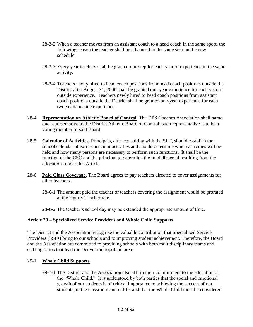- 28-3-2 When a teacher moves from an assistant coach to a head coach in the same sport, the following season the teacher shall be advanced to the same step on the new schedule.
- 28-3-3 Every year teachers shall be granted one step for each year of experience in the same activity.
- 28-3-4 Teachers newly hired to head coach positions from head coach positions outside the District after August 31, 2000 shall be granted one-year experience for each year of outside experience. Teachers newly hired to head coach positions from assistant coach positions outside the District shall be granted one-year experience for each two years outside experience.
- 28-4 **Representation on Athletic Board of Control.** The DPS Coaches Association shall name one representative to the District Athletic Board of Control; such representative is to be a voting member of said Board.
- 28-5 **Calendar of Activities.** Principals, after consulting with the SLT, should establish the school calendar of extra-curricular activities and should determine which activities will be held and how many persons are necessary to perform such functions. It shall be the function of the CSC and the principal to determine the fund dispersal resulting from the allocations under this Article.
- 28-6 **Paid Class Coverage.** The Board agrees to pay teachers directed to cover assignments for other teachers.
	- 28-6-1 The amount paid the teacher or teachers covering the assignment would be prorated at the Hourly Teacher rate.
	- 28-6-2 The teacher's school day may be extended the appropriate amount of time.

## **Article 29 – Specialized Service Providers and Whole Child Supports**

The District and the Association recognize the valuable contribution that Specialized Service Providers (SSPs) bring to our schools and to improving student achievement. Therefore, the Board and the Association are committed to providing schools with both multidisciplinary teams and staffing ratios that lead the Denver metropolitan area.

## 29-1 **Whole Child Supports**

29-1-1 The District and the Association also affirm their commitment to the education of the "Whole Child." It is understood by both parties that the social and emotional growth of our students is of critical importance to achieving the success of our students, in the classroom and in life, and that the Whole Child must be considered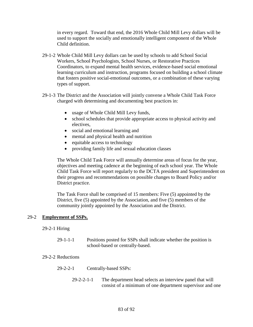in every regard. Toward that end, the 2016 Whole Child Mill Levy dollars will be used to support the socially and emotionally intelligent component of the Whole Child definition.

- 29-1-2 Whole Child Mill Levy dollars can be used by schools to add School Social Workers, School Psychologists, School Nurses, or Restorative Practices Coordinators, to expand mental health services, evidence-based social emotional learning curriculum and instruction, programs focused on building a school climate that fosters positive social-emotional outcomes, or a combination of these varying types of support.
- 29-1-3 The District and the Association will jointly convene a Whole Child Task Force charged with determining and documenting best practices in:
	- usage of Whole Child Mill Levy funds,
	- school schedules that provide appropriate access to physical activity and electives,
	- social and emotional learning and
	- mental and physical health and nutrition
	- equitable access to technology
	- providing family life and sexual education classes

The Whole Child Task Force will annually determine areas of focus for the year, objectives and meeting cadence at the beginning of each school year. The Whole Child Task Force will report regularly to the DCTA president and Superintendent on their progress and recommendations on possible changes to Board Policy and/or District practice.

The Task Force shall be comprised of 15 members: Five (5) appointed by the District, five (5) appointed by the Association, and five (5) members of the community jointly appointed by the Association and the District.

## 29-2 **Employment of SSPs.**

#### 29-2-1 Hiring

29-1-1-1 Positions posted for SSPs shall indicate whether the position is school-based or centrally-based.

#### 29-2-2 Reductions

- 29-2-2-1 Centrally-based SSPs:
	- 29-2-2-1-1 The department head selects an interview panel that will consist of a minimum of one department supervisor and one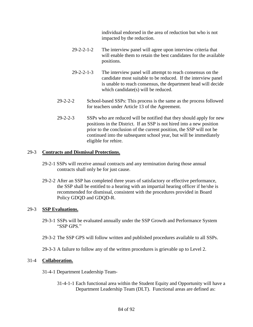individual endorsed in the area of reduction but who is not impacted by the reduction.

- 29-2-2-1-2 The interview panel will agree upon interview criteria that will enable them to retain the best candidates for the available positions.
- 29-2-2-1-3 The interview panel will attempt to reach consensus on the candidate most suitable to be reduced. If the interview panel is unable to reach consensus, the department head will decide which candidate(s) will be reduced.
- 29-2-2-2 School-based SSPs: This process is the same as the process followed for teachers under Article 13 of the Agreement.
- 29-2-2-3 SSPs who are reduced will be notified that they should apply for new positions in the District. If an SSP is not hired into a new position prior to the conclusion of the current position, the SSP will not be continued into the subsequent school year, but will be immediately eligible for rehire.

# 29-3 **Contracts and Dismissal Protections.**

- 29-2-1 SSPs will receive annual contracts and any termination during those annual contracts shall only be for just cause.
- 29-2-2 After an SSP has completed three years of satisfactory or effective performance, the SSP shall be entitled to a hearing with an impartial hearing officer if he/she is recommended for dismissal, consistent with the procedures provided in Board Policy GDQD and GDQD-R.

# 29-3 **SSP Evaluations.**

- 29-3-1 SSPs will be evaluated annually under the SSP Growth and Performance System "SSP GPS."
- 29-3-2 The SSP GPS will follow written and published procedures available to all SSPs.
- 29-3-3 A failure to follow any of the written procedures is grievable up to Level 2.

# 31-4 **Collaboration.**

- 31-4-1 Department Leadership Team-
	- 31-4-1-1 Each functional area within the Student Equity and Opportunity will have a Department Leadership Team (DLT). Functional areas are defined as: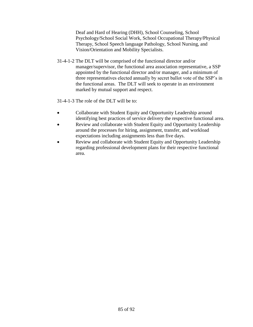Deaf and Hard of Hearing (DHH), School Counseling, School Psychology/School Social Work, School Occupational Therapy/Physical Therapy, School Speech language Pathology, School Nursing, and Vision/Orientation and Mobility Specialists.

31-4-1-2 The DLT will be comprised of the functional director and/or manager/supervisor, the functional area association representative, a SSP appointed by the functional director and/or manager, and a minimum of three representatives elected annually by secret ballot vote of the SSP's in the functional areas. The DLT will seek to operate in an environment marked by mutual support and respect.

31-4-1-3 The role of the DLT will be to:

- Collaborate with Student Equity and Opportunity Leadership around identifying best practices of service delivery the respective functional area.
- Review and collaborate with Student Equity and Opportunity Leadership around the processes for hiring, assignment, transfer, and workload expectations including assignments less than five days.
- Review and collaborate with Student Equity and Opportunity Leadership regarding professional development plans for their respective functional area.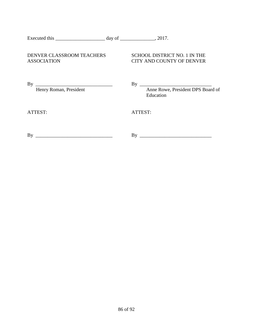| Executed this | dav of | 201' |
|---------------|--------|------|
|               |        |      |

# DENVER CLASSROOM TEACHERS SCHOOL DISTRICT NO. 1 IN THE ASSOCIATION CITY AND COUNTY OF DENVER

By  $\frac{1}{\text{Henry Roman, President}}$ 

By  $\frac{1}{\sqrt{1-\text{Area}}}$  Anne Rowe, President DPS Board of Education

ATTEST: ATTEST:

By \_\_\_\_\_\_\_\_\_\_\_\_\_\_\_\_\_\_\_\_\_\_\_\_\_\_\_\_\_\_\_ By \_\_\_\_\_\_\_\_\_\_\_\_\_\_\_\_\_\_\_\_\_\_\_\_\_\_\_\_\_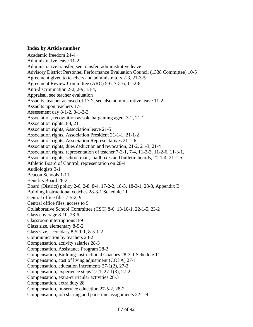### **Index by Article number**

Academic freedom 24-4 Administrative leave 11-2 Administrative transfer, see transfer, administrative leave Advisory District Personnel Performance Evaluation Council (1338 Committee) 10-5 Agreement given to teachers and administrators 2-3, 21-3-5 Agreement Review Committee (ARC) 5-6, 7-5-6, 11-2-8, Anti-discrimination 2-2, 2-9, 13-4, Appraisal, see teacher evaluation Assaults, teacher accused of 17-2, see also administrative leave 11-2 Assaults upon teachers 17-1 Assessment day 8-1-2, 8-1-2-3 Association, recognition as sole bargaining agent 3-2, 21-1 Association rights 3-3, 21 Association rights, Association leave 21-5 Association rights, Association President 21-1-1, 21-1-2 Association rights, Association Representatives 21-1-6 Association rights, dues deduction and revocation, 21-2, 21-3, 21-4 Association rights, representation of teacher 7-3-1, 7-4, 11-2-3, 11-2-6, 11-3-1, Association rights, school mail, mailboxes and bulletin boards, 21-1-4, 21-1-5 Athletic Board of Control, representation on 28-4 Audiologists 3-1 Beacon Schools 1-11 Benefits Board 26-2 Board (District) policy 2-6, 2-8, 8-4, 17-2-2, 18-3, 18-3-1, 28-3, Appendix B Building instructional coaches 28-3-1 Schedule 11 Central office files 7-5-2, 9 Central office files, access to 9 Collaborative School Committee (CSC) 8-6, 13-10-1, 22-1-5, 23-2 Class coverage 8-10, 28-6 Classroom interruptions 8-9 Class size, elementary 8-5-2 Class size, secondary 8-5-1-1, 8-5-1-2 Communication by teachers 23-2 Compensation, activity salaries 28-3 Compensation, Assistance Program 28-2 Compensation, Building Instructional Coaches 28-3-1 Schedule 11 Compensation, cost of living adjustment (COLA) 27-1 Compensation, education increments 27-1(2), 27-3 Compensation, experience steps 27-1, 27-1(3), 27-2 Compensation, extra-curricular activities 28-3 Compensation, extra duty 28 Compensation, in-service education 27-5-2, 28-2 Compensation, job sharing and part-time assignments 22-1-4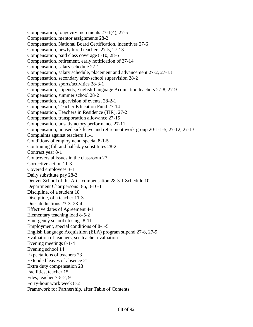Compensation, longevity increments 27-1(4), 27-5 Compensation, mentor assignments 28-2 Compensation, National Board Certification, incentives 27-6 Compensation, newly hired teachers 27-5, 27-13 Compensation, paid class coverage 8-10, 28-6 Compensation, retirement, early notification of 27-14 Compensation, salary schedule 27-1 Compensation, salary schedule, placement and advancement 27-2, 27-13 Compensation, secondary after-school supervision 28-2 Compensation, sports/activities 28-3-1 Compensation, stipends, English Language Acquisition teachers 27-8, 27-9 Compensation, summer school 28-2 Compensation, supervision of events, 28-2-1 Compensation, Teacher Education Fund 27-14 Compensation, Teachers in Residence (TIR), 27-2 Compensation, transportation allowance 27-15 Compensation, unsatisfactory performance 27-11 Compensation, unused sick leave and retirement work group 20-1-1-5, 27-12, 27-13 Complaints against teachers 11-1 Conditions of employment, special 8-1-5 Continuing full and half-day substitutes 28-2 Contract year 8-1 Controversial issues in the classroom 27 Corrective action 11-3 Covered employees 3-1 Daily substitute pay 28-2 Denver School of the Arts, compensation 28-3-1 Schedule 10 Department Chairpersons 8-6, 8-10-1 Discipline, of a student 18 Discipline, of a teacher 11-3 Dues deductions 23-3, 23-4 Effective dates of Agreement 4-1 Elementary teaching load 8-5-2 Emergency school closings 8-11 Employment, special conditions of 8-1-5 English Language Acquisition (ELA) program stipend 27-8, 27-9 Evaluation of teachers, see teacher evaluation Evening meetings 8-1-4 Evening school 14 Expectations of teachers 23 Extended leaves of absence 21 Extra duty compensation 28 Facilities, teacher 15 Files, teacher 7-5-2, 9 Forty-hour work week 8-2 Framework for Partnership, after Table of Contents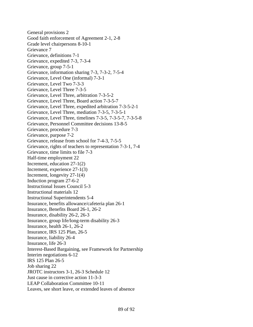General provisions 2 Good faith enforcement of Agreement 2-1, 2-8 Grade level chairpersons 8-10-1 Grievance 7 Grievance, definitions 7-1 Grievance, expedited 7-3, 7-3-4 Grievance, group 7-5-1 Grievance, information sharing 7-3, 7-3-2, 7-5-4 Grievance, Level One (informal) 7-3-1 Grievance, Level Two 7-3-3 Grievance, Level Three 7-3-5 Grievance, Level Three, arbitration 7-3-5-2 Grievance, Level Three, Board action 7-3-5-7 Grievance, Level Three, expedited arbitration 7-3-5-2-1 Grievance, Level Three, mediation 7-3-5, 7-3-5-1 Grievance, Level Three, timelines 7-3-5, 7-3-5-7, 7-3-5-8 Grievance, Personnel Committee decisions 13-8-5 Grievance, procedure 7-3 Grievance, purpose 7-2 Grievance, release from school for 7-4-3, 7-5-5 Grievance, rights of teachers to representation 7-3-1, 7-4 Grievance, time limits to file 7-3 Half-time employment 22 Increment, education 27-1(2) Increment, experience 27-1(3) Increment, longevity 27-1(4) Induction program 27-6-2 Instructional Issues Council 5-3 Instructional materials 12 Instructional Superintendents 5-4 Insurance, benefits allowance/cafeteria plan 26-1 Insurance, Benefits Board 26-1, 26-2 Insurance, disability 26-2, 26-3 Insurance, group life/long-term disability 26-3 Insurance, health 26-1, 26-2 Insurance, IRS 125 Plan, 26-5 Insurance, liability 26-4 Insurance, life 26-3 Interest-Based Bargaining, see Framework for Partnership Interim negotiations 6-12 IRS 125 Plan 26-5 Job sharing 22 JROTC instructors 3-1, 26-3 Schedule 12 Just cause in corrective action 11-3-3 LEAP Collaboration Committee 10-11 Leaves, see short leave, or extended leaves of absence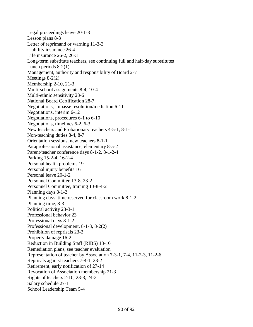Legal proceedings leave 20-1-3 Lesson plans 8-8 Letter of reprimand or warning 11-3-3 Liability insurance 26-4 Life insurance 26-2, 26-3 Long-term substitute teachers, see continuing full and half-day substitutes Lunch periods 8-2(1) Management, authority and responsibility of Board 2-7 Meetings 8-2(2) Membership 2-10, 21-3 Multi-school assignments 8-4, 10-4 Multi-ethnic sensitivity 23-6 National Board Certification 28-7 Negotiations, impasse resolution/mediation 6-11 Negotiations, interim 6-12 Negotiations, procedures 6-1 to 6-10 Negotiations, timelines 6-2, 6-3 New teachers and Probationary teachers 4-5-1, 8-1-1 Non-teaching duties 8-4, 8-7 Orientation sessions, new teachers 8-1-1 Paraprofessional assistance, elementary 8-5-2 Parent/teacher conference days 8-1-2, 8-1-2-4 Parking 15-2-4, 16-2-4 Personal health problems 19 Personal injury benefits 16 Personal leave 20-1-2 Personnel Committee 13-8, 23-2 Personnel Committee, training 13-8-4-2 Planning days 8-1-2 Planning days, time reserved for classroom work 8-1-2 Planning time, 8-3 Political activity 23-3-1 Professional behavior 23 Professional days 8-1-2 Professional development, 8-1-3, 8-2(2) Prohibition of reprisals 23-2 Property damage 16-2 Reduction in Building Staff (RIBS) 13-10 Remediation plans, see teacher evaluation Representation of teacher by Association 7-3-1, 7-4, 11-2-3, 11-2-6 Reprisals against teachers 7-4-1, 23-2 Retirement, early notification of 27-14 Revocation of Association membership 21-3 Rights of teachers 2-10, 23-3, 24-2 Salary schedule 27-1 School Leadership Team 5-4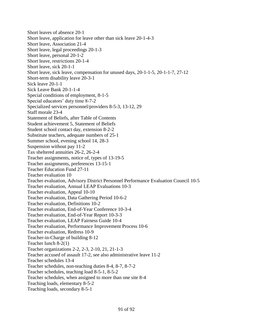Short leaves of absence 20-1 Short leave, application for leave other than sick leave 20-1-4-3 Short leave, Association 21-4 Short leave, legal proceedings 20-1-3 Short leave, personal 20-1-2 Short leave, restrictions 20-1-4 Short leave, sick 20-1-1 Short leave, sick leave, compensation for unused days, 20-1-1-5, 20-1-1-7, 27-12 Short-term disability leave 20-3-1 Sick leave 20-1-1 Sick Leave Bank 20-1-1-4 Special conditions of employment, 8-1-5 Special educators' duty time 8-7-2 Specialized services personnel/providers 8-5-3, 13-12, 29 Staff morale 23-4 Statement of Beliefs, after Table of Contents Student achievement 5, Statement of Beliefs Student school contact day, extension 8-2-2 Substitute teachers, adequate numbers of 25-1 Summer school, evening school 14, 28-3 Suspension without pay 11-2 Tax sheltered annuities 26-2, 26-2-4 Teacher assignments, notice of, types of 13-19-5 Teacher assignments, preferences 13-15-1 Teacher Education Fund 27-11 Teacher evaluation 10 Teacher evaluation, Advisory District Personnel Performance Evaluation Council 10-5 Teacher evaluation, Annual LEAP Evaluations 10-3 Teacher evaluation, Appeal 10-10 Teacher evaluation, Data Gathering Period 10-6-2 Teacher evaluation, Definitions 10-2 Teacher evaluation, End-of-Year Conference 10-3-4 Teacher evaluation, End-of-Year Report 10-3-3 Teacher evaluation, LEAP Fairness Guide 10-4 Teacher evaluation, Performance Improvement Process 10-6 Teacher evaluation, Redress 10-9 Teacher-in-Charge of building 8-12 Teacher lunch 8-2(1) Teacher organizations 2-2, 2-3, 2-10, 21, 21-1-3 Teacher accused of assault 17-2, see also administrative leave 11-2 Teacher schedules 13-4 Teacher schedules, non-teaching duties 8-4, 8-7, 8-7-2 Teacher schedules, teaching load 8-5-1, 8-5-2 Teacher schedules, when assigned to more than one site 8-4 Teaching loads, elementary 8-5-2 Teaching loads, secondary 8-5-1